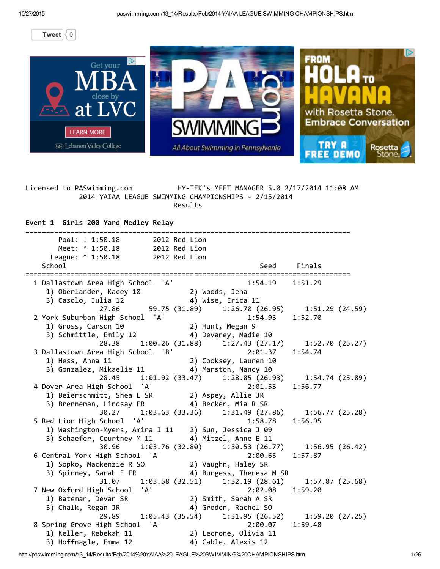[Tweet](https://twitter.com/intent/tweet?hashtags=paswimming&original_referer=http%3A%2F%2Fpaswimming.com%2F13_14%2FResults%2FFeb%2F2014%2520YAIAA%2520LEAGUE%2520SWIMMING%2520CHAMPIONSHIPS.htm&ref_src=twsrc%5Etfw&related=paswimming&tw_p=tweetbutton&url=http%3A%2F%2Fpaswimming.com%2F13_14%2FResults%2FFeb%2F2014%2520YAIAA%2520LEAGUE%2520SWIMMING%2520CHAMPIONSHIPS.htm&via=paswimming)  $\vert \langle 0 \vert \vert$  $\vert \langle 0 \vert \vert$  $\vert \langle 0 \vert \vert$ 



Licensed to PASwimming.com HY-TEK's MEET MANAGER 5.0 2/17/2014 11:08 AM 2014 YAIAA LEAGUE SWIMMING CHAMPIONSHIPS ‐ 2/15/2014 Results

## Event 1 Girls 200 Yard Medley Relay

| Pool: ! 1:50.18 2012 Red Lion                                                                                                                                                                 |                                                                       |         |
|-----------------------------------------------------------------------------------------------------------------------------------------------------------------------------------------------|-----------------------------------------------------------------------|---------|
| Meet: ^ 1:50.18 2012 Red Lion                                                                                                                                                                 |                                                                       |         |
| League: * 1:50.18 2012 Red Lion                                                                                                                                                               |                                                                       |         |
| School                                                                                                                                                                                        | Seed Finals                                                           |         |
|                                                                                                                                                                                               |                                                                       |         |
| 1 Dallastown Area High School 'A'                                                                                                                                                             | $1:54.19$ $1:51.29$                                                   |         |
| 1) Oberlander, Kacey 10 (2) Woods, Jena                                                                                                                                                       |                                                                       |         |
| 3) Casolo, Julia 12                                                                                                                                                                           | 4) Wise, Erica 11                                                     |         |
|                                                                                                                                                                                               | 27.86 59.75 (31.89) 1:26.70 (26.95) 1:51.29 (24.59)                   |         |
| 2 York Suburban High School 'A'                                                                                                                                                               | 1:54.93 1:52.70                                                       |         |
| 1) Gross, Carson 10                                                                                                                                                                           | 2) Hunt, Megan 9                                                      |         |
| 3) Schmittle, Emily 12 (4) Devaney, Madie 10                                                                                                                                                  |                                                                       |         |
| 28.38                                                                                                                                                                                         | $1:00.26$ (31.88) $1:27.43$ (27.17) $1:52.70$ (25.27)                 |         |
| 3 Dallastown Area High School 'B'                                                                                                                                                             | 2:01.37 1:54.74                                                       |         |
| 1) Hess, Anna 11                                                                                                                                                                              | 2) Cooksey, Lauren 10                                                 |         |
| 3) Gonzalez, Mikaelie 11 (4) Marston, Nancy 10                                                                                                                                                |                                                                       |         |
|                                                                                                                                                                                               | 28.45 1:01.92 (33.47) 1:28.85 (26.93) 1:54.74 (25.89)                 |         |
| 4 Dover Area High School 'A' 2:01.<br>1) Beierschmitt, Shea L SR 2) Aspey, Allie JR                                                                                                           | 2:01.53 1:56.77                                                       |         |
|                                                                                                                                                                                               |                                                                       |         |
| 3) Brenneman, Lindsay FR 4) Becker, Mia R SR                                                                                                                                                  |                                                                       |         |
|                                                                                                                                                                                               | 30.27 1:03.63 (33.36) 1:31.49 (27.86) 1:56.77 (25.28)                 |         |
| 5 Red Lion High School 'A'                                                                                                                                                                    | 1:58.78 1:56.95                                                       |         |
|                                                                                                                                                                                               |                                                                       |         |
| 3) Schaefer, Courtney M 11 4) Mitzel, Anne E 11                                                                                                                                               |                                                                       |         |
|                                                                                                                                                                                               | 30.96 1:03.76 (32.80) 1:30.53 (26.77) 1:56.95 (26.42)                 |         |
| 6 Central York High School 'A' 2:00.65<br>1) Sopko, Mackenzie R SO 2) Vaughn, Haley SR<br>3) Spinney, Sarah E FR 4) Burgess, Theresa M SR                                                     | 2:00.65 1:57.87                                                       |         |
|                                                                                                                                                                                               |                                                                       |         |
|                                                                                                                                                                                               |                                                                       |         |
|                                                                                                                                                                                               | 31.07   1:03.58   (32.51)   1:32.19   (28.61)   1:57.87   (25.68)     |         |
| 7 New Oxford High School 'A' 2:02.08 1:59.20<br>1) Bateman, Devan SR 2) Smith, Sarah A SR<br>3) Chalk, Regan JR 4) Groden, Rachel SO<br>29.89 1:05.43 (35.54) 1:31.95 (26.52) 1:59.20 (27.25) |                                                                       |         |
|                                                                                                                                                                                               |                                                                       |         |
|                                                                                                                                                                                               |                                                                       |         |
|                                                                                                                                                                                               |                                                                       |         |
| 8 Spring Grove High School 'A'                                                                                                                                                                | 2:00.07<br>2.90.07<br>2.00.07<br>2) Lecrone, Olivia 11<br>4) Cable 11 | 1:59.48 |
| 1) Keller, Rebekah 11                                                                                                                                                                         |                                                                       |         |
| 3) Hoffnagle, Emma 12                                                                                                                                                                         |                                                                       |         |

http://paswimming.com/13\_14/Results/Feb/2014%20YAIAA%20LEAGUE%20SWIMMING%20CHAMPIONSHIPS.htm 1/26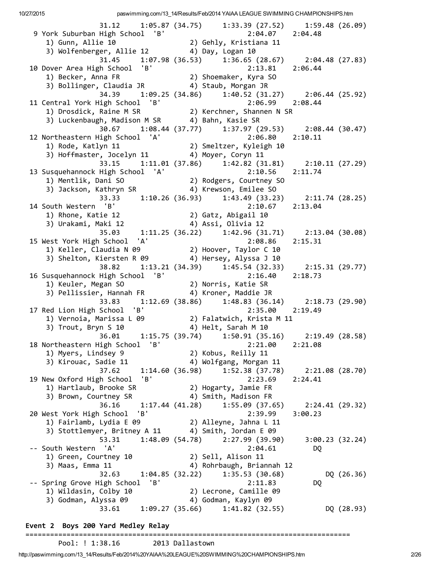31.12 1:05.87 (34.75) 1:33.39 (27.52) 1:59.48 (26.09) 9 York Suburban High School 'B' 2:04.07 2:04.48 1) Gunn, Allie 10 2) Gehly, Kristiana 11 3) Wolfenberger, Allie 12 (4) Day, Logan 10 31.45 1:07.98 (36.53) 1:36.65 (28.67) 2:04.48 (27.83) 10 Dover Area High School 'B' 2:13.81 2:06.44 1) Becker, Anna FR 2) Shoemaker, Kyra SO 3) Bollinger, Claudia JR (4) Staub, Morgan JR 34.39 1:09.25 (34.86) 1:40.52 (31.27) 2:06.44 (25.92) 11 Central York High School 'B' 2:06.99 2:08.44 1) Drosdick, Raine M SR 2) Kerchner, Shannen N SR 3) Luckenbaugh, Madison M SR 4) Bahn, Kasie SR 30.67 1:08.44 (37.77) 1:37.97 (29.53) 2:08.44 (30.47) 12 Northeastern High School 'A' 2:06.80 2:10.11 1) Rode, Katlyn 11 2) Smeltzer, Kyleigh 10 3) Hoffmaster, Jocelyn 11 4) Moyer, Coryn 11 33.15 1:11.01 (37.86) 1:42.82 (31.81) 2:10.11 (27.29) 13 Susquehannock High School 'A' 2:10.56 2:11.74 1) Mentlik, Dani SO 2) Rodgers, Courtney SO 3) Jackson, Kathryn SR 4) Krewson, Emilee SO 33.33 1:10.26 (36.93) 1:43.49 (33.23) 2:11.74 (28.25) 14 South Western 'B' 2:10.67 2:13.04 1) Rhone, Katie 12 2) Gatz, Abigail 10 3) Urakami, Maki 12 4) Assi, Olivia 12 35.03 1:11.25 (36.22) 1:42.96 (31.71) 2:13.04 (30.08) 15 West York High School 'A' 2:08.86 2:15.31 1) Keller, Claudia N 09 2) Hoover, Taylor C 10 3) Shelton, Kiersten R 09 (4) Hersey, Alyssa J 10 38.82 1:13.21 (34.39) 1:45.54 (32.33) 2:15.31 (29.77) 16 Susquehannock High School 'B' 2:16.40 2:18.73 1) Keuler, Megan SO 2) Norris, Katie SR 3) Pellissier, Hannah FR (4) Kroner, Maddie JR 33.83 1:12.69 (38.86)  $1:48.83$  (36.14) 2:18.73 (29.90)<br>17 Red Lion High School 'B' 2:35.00 2:19.49 17 Red Lion High School 'B' 2:35.00 2:19.49 1) Vernoia, Marissa L 09 2) Falatwich, Krista M 11 3) Trout, Bryn S 10 4) Helt, Sarah M 10 36.01 1:15.75 (39.74) 1:50.91 (35.16) 2:19.49 (28.58) 18 Northeastern High School 'B' 2:21.00 2:21.08 1) Myers, Lindsey 9 2) Kobus, Reilly 11 3) Kirouac, Sadie 11 (4) Wolfgang, Morgan 11 37.62 1:14.60 (36.98) 1:52.38 (37.78) 2:21.08 (28.70)<br>
gh School 'B' 2:23.69 2:24.41 19 New Oxford High School 'B' 1) Hartlaub, Brooke SR 2) Hogarty, Jamie FR 3) Brown, Courtney SR 4) Smith, Madison FR 36.16 1:17.44 (41.28) 1:55.09 (37.65) 2:24.41 (29.32) 20 West York High School 'B' 2:39.99 3:00.23 1) Fairlamb, Lydia E 09 2) Alleyne, Jahna L 11 3) Stottlemyer, Britney A 11 4) Smith, Jordan E 09 53.31 1:48.09 (54.78) 2:27.99 (39.90) 3:00.23 (32.24) ‐‐ South Western 'A' 2:04.61 DQ 1) Green, Courtney 10 2) Sell, Alison 11 3) Maas, Emma 11 4) Rohrbaugh, Briannah 12 32.63 1:04.85 (32.22) 1:35.53 (30.68) DQ (26.36) ‐‐ Spring Grove High School 'B' 2:11.83 DQ 1) Wildasin, Colby 10 2) Lecrone, Camille 09 3) Godman, Alyssa 09 4) Godman, Kaylyn 09  $\overline{33.61}$  1:09.27 (35.66) 1:41.82 (32.55) DQ (28.93)

## Event 2 Boys 200 Yard Medley Relay

===============================================================================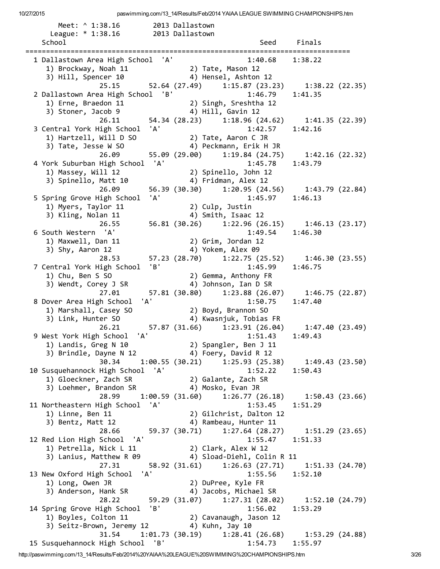Meet: ^ 1:38.16 2013 Dallastown League: \* 1:38.16 2013 Dallastown School Seed Finals =============================================================================== 1 Dallastown Area High School 'A' 1:40.68 1:38.22 1) Brockway, Noah 11 2) Tate, Mason 12 3) Hill, Spencer 10 (4) Hensel, Ashton 12 25.15 52.64 (27.49) 1:15.87 (23.23) 1:38.22 (22.35) 2 Dallastown Area High School 'B' 1:46.79 1:41.35 1) Erne, Braedon 11 2) Singh, Sreshtha 12 3) Stoner, Jacob 9 4) Hill, Gavin 12 26.11 54.34 (28.23) 1:18.96 (24.62) 1:41.35 (22.39) 3 Central York High School 'A' 1:42.57 1:42.16 1) Hartzell, Will D SO 2) Tate, Aaron C JR 3) Tate, Jesse W SO 4) Peckmann, Erik H JR 26.09 55.09 (29.00) 1:19.84 (24.75) 1:42.16 (22.32) 4 York Suburban High School 'A' 1:45.78 1:43.79 1) Massey, Will 12 2) Spinello, John 12 3) Spinello, Matt 10 (4) Fridman, Alex 12 26.09 56.39 (30.30) 1:20.95 (24.56) 1:43.79 (22.84) 5 Spring Grove High School 'A' 1:45.97 1:46.13 1) Myers, Taylor 11 2) Culp, Justin 3) Kling, Nolan 11 4) Smith, Isaac 12 26.55 56.81 (30.26) 1:22.96 (26.15) 1:46.13 (23.17) 6 South Western 'A' 1:49.54 1:46.30 1) Maxwell, Dan 11 2) Grim, Jordan 12 3) Shy, Aaron 12 (4) Yokem, Alex 09 28.53 57.23 (28.70) 1:22.75 (25.52) 1:46.30 (23.55) 7 Central York High School 'B' 1:45.99 1:46.75 1) Chu, Ben S SO 2) Gemma, Anthony FR 3) Wendt, Corey J SR 4) Johnson, Ian D SR 3) Wendt, Corey J SR  $27.01$  57.81 (30.80) 1:23.88 (26.07) 1:46.75 (22.87)<br>8 Dover Area High School 'A' 1:23.88 (26.07) 1:47.40 8 Dover Area High School 'A' 1:50.75 1:47.40 1) Marshall, Casey SO 2) Boyd, Brannon SO 3) Link, Hunter SO 4) Kwasnjuk, Tobias FR 26.21 57.87 (31.66) 1:23.91 (26.04) 1:47.40 (23.49) 9 West York High School 'A' 1:51.43 1:49.43 1) Landis, Greg N 10 2) Spangler, Ben J 11 3) Brindle, Dayne N 12 (4) Foery, David R 12 30.34 1:00.55 (30.21) 1:25.93 (25.38) 1:49.43 (23.50) 10 Susquehannock High School 'A' 1:52.22 1:50.43 1) Gloeckner, Zach SR 2) Galante, Zach SR 3) Loehmer, Brandon SR (4) Mosko, Evan JR 28.99 1:00.59 (31.60) 1:26.77 (26.18) 1:50.43 (23.66) 11 Northeastern High School 'A' 1:53.45 1:51.29 1) Linne, Ben 11 2 2) Gilchrist, Dalton 12<br>3) Bentz, Matt 12 2 4) Rambeau. Hunter 11 3) Bentz, Matt 12 4) Rambeau, Hunter 11 28.66 59.37 (30.71) 1:27.64 (28.27) 1:51.29 (23.65) 12 Red Lion High School 'A' 1:55.47 1:51.33 1) Petrella, Nick L 11 2) Clark, Alex W 12 3) Lanius, Matthew R 09 4) Sload-Diehl, Colin R 11 27.31 58.92 (31.61) 1:26.63 (27.71) 1:51.33 (24.70) 13 New Oxford High School 'A' 1:55.56 1:52.10 1) Long, Owen JR 2) DuPree, Kyle FR 3) Anderson, Hank SR 4) Jacobs, Michael SR 28.22 59.29 (31.07) 1:27.31 (28.02) 1:52.10 (24.79) 14 Spring Grove High School 'B' 1:56.02 1:53.29 1) Boyles, Colton 11 2) Cavanaugh, Jason 12 3) Seitz-Brown, Jeremy 12 4) Kuhn, Jay 10 31.54 1:01.73 (30.19) 1:28.41 (26.68) 1:53.29 (24.88) 15 Susquehannock High School 'B' 1:54.73 1:55.97

http://paswimming.com/13\_14/Results/Feb/2014%20YAIAA%20LEAGUE%20SWIMMING%20CHAMPIONSHIPS.htm 3/26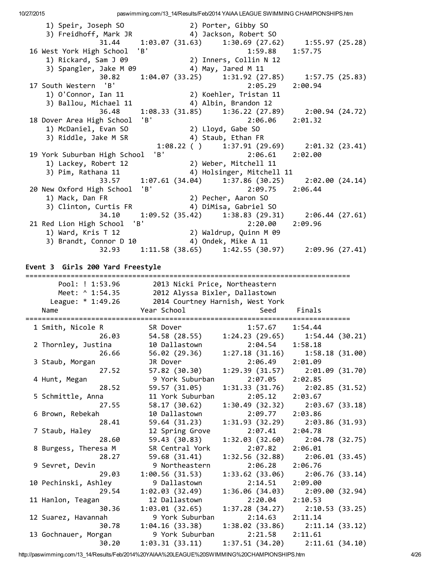| 1) Speir, Joseph SO                                                                                                                         |                |                  | 2) Porter, Gibby SO                                   |                           |  |
|---------------------------------------------------------------------------------------------------------------------------------------------|----------------|------------------|-------------------------------------------------------|---------------------------|--|
| 3) Freidhoff, Mark JR (4) Jackson, Robert SO                                                                                                |                |                  |                                                       |                           |  |
| 31.44                                                                                                                                       |                |                  | $1:03.07$ (31.63) $1:30.69$ (27.62) $1:55.97$ (25.28) |                           |  |
| 16 West York High School                                                                                                                    | 'B'            |                  | 1:59.88                                               | 1:57.75                   |  |
| 1) Rickard, Sam J 09                                                                                                                        |                |                  | 1:59.88<br>2) Inners, Collin N 12                     |                           |  |
| 3) Spangler, Jake M 09                                                                                                                      |                |                  | 4) May, Jared M 11                                    |                           |  |
| 30.82                                                                                                                                       |                |                  | 1:04.07 (33.25) 1:31.92 (27.85) 1:57.75 (25.83)       |                           |  |
| 17 South Western 'B'                                                                                                                        |                |                  | 2:05.29                                               | 2:00.94                   |  |
| 1) O'Connor, Ian 11                                                                                                                         |                |                  | 2) Koehler, Tristan 11                                |                           |  |
| 3) Ballou, Michael 11                                                                                                                       |                |                  | 4) Albin, Brandon 12                                  |                           |  |
| 36.48                                                                                                                                       |                |                  | $1:08.33$ (31.85) $1:36.22$ (27.89) $2:00.94$ (24.72) |                           |  |
| 18 Dover Area High School                                                                                                                   | 'B'            |                  | 2:06.06 2:01.32                                       |                           |  |
|                                                                                                                                             |                |                  |                                                       |                           |  |
| 1) McDaniel, Evan SO                                                                                                                        |                |                  | 2) Lloyd, Gabe SO                                     |                           |  |
| 3) Riddle, Jake M SR                                                                                                                        |                |                  | 4) Staub, Ethan FR                                    |                           |  |
|                                                                                                                                             |                |                  | $1:08.22$ ( ) $1:37.91$ (29.69) $2:01.32$ (23.41)     |                           |  |
| 19 York Suburban High School 'B'                                                                                                            |                |                  | $2:06.61$ $2:02.00$                                   |                           |  |
| 1) Lackey, Robert 12                                                                                                                        |                |                  | 2) Weber, Mitchell 11                                 |                           |  |
| 3) Pim, Rathana 11                                                                                                                          |                |                  | 4) Holsinger, Mitchell 11                             |                           |  |
|                                                                                                                                             |                |                  | 33.57 1:07.61 (34.04) 1:37.86 (30.25) 2:02.00 (24.14) |                           |  |
| 20 New Oxford High School 'B'                                                                                                               |                |                  | 2:09.75 2:06.44                                       |                           |  |
| 1) Mack, Dan FR                                                                                                                             |                |                  | 2) Pecher, Aaron SO                                   |                           |  |
| 3) Clinton, Curtis FR                                                                                                                       |                |                  | 4) DiMisa, Gabriel SO                                 |                           |  |
| 34.10                                                                                                                                       |                |                  | 1:09.52 (35.42) 1:38.83 (29.31) 2:06.44 (27.61)       |                           |  |
| 21 Red Lion High School                                                                                                                     | 'B'            |                  | 2:20.00                                               | 2:09.96                   |  |
| 1) Ward, Kris T 12                                                                                                                          |                |                  | 2) Waldrup, Quinn M 09                                |                           |  |
| 3) Brandt, Connor D 10 (4) Ondek, Mike A 11                                                                                                 |                |                  |                                                       |                           |  |
| 32.93                                                                                                                                       |                |                  | $1:11.58(38.65)$ $1:42.55(30.97)$ $2:09.96(27.41)$    |                           |  |
|                                                                                                                                             |                |                  |                                                       |                           |  |
| Event 3 Girls 200 Yard Freestyle                                                                                                            |                |                  |                                                       |                           |  |
|                                                                                                                                             |                |                  |                                                       |                           |  |
|                                                                                                                                             |                |                  |                                                       |                           |  |
|                                                                                                                                             |                |                  |                                                       |                           |  |
| Pool: ! 1:53.96 2013 Nicki Price, Northeastern                                                                                              |                |                  |                                                       |                           |  |
|                                                                                                                                             |                |                  |                                                       |                           |  |
| Name                                                                                                                                        |                |                  |                                                       | Seed Finals               |  |
| POOI: ! 1:55.50<br>Meet: ^ 1:54.35 2012 Alyssa Bixler, Dallastown<br>League: * 1:49.26 2014 Courtney Harnish, West York<br>Year School Seed |                |                  |                                                       |                           |  |
| 1 Smith, Nicole R                                                                                                                           |                |                  | $1:57.67$ $1:54.44$                                   |                           |  |
|                                                                                                                                             | SR Dover       |                  |                                                       |                           |  |
|                                                                                                                                             |                |                  | 26.03 54.58 (28.55) 1:24.23 (29.65) 1:54.44 (30.21)   |                           |  |
| 2 Thornley, Justina 10 Dallastown 2:04.54 1:58.18                                                                                           |                |                  |                                                       |                           |  |
| 26.66                                                                                                                                       | 56.02(29.36)   |                  | 1:27.18(31.16)                                        | 1:58.18(31.00)            |  |
| 3 Staub, Morgan                                                                                                                             | JR Dover       |                  | 2:06.49                                               | 2:01.09                   |  |
| 27.52                                                                                                                                       | 57.82 (30.30)  |                  | 1:29.39(31.57)                                        | 2:01.09(31.70)            |  |
| 4 Hunt, Megan                                                                                                                               |                | 9 York Suburban  | 2:07.05                                               | 2:02.85                   |  |
| 28.52                                                                                                                                       | 59.57 (31.05)  |                  | 1:31.33(31.76)                                        | 2:02.85(31.52)            |  |
| 5 Schmittle, Anna                                                                                                                           |                | 11 York Suburban | 2:05.12                                               | 2:03.67                   |  |
| 27.55                                                                                                                                       | 58.17 (30.62)  |                  | 1:30.49(32.32)                                        | 2:03.67(33.18)            |  |
| 6 Brown, Rebekah                                                                                                                            | 10 Dallastown  |                  | 2:09.77                                               | 2:03.86                   |  |
| 28.41                                                                                                                                       | 59.64 (31.23)  |                  | 1:31.93(32.29)                                        | 2:03.86(31.93)            |  |
| 7 Staub, Haley                                                                                                                              |                | 12 Spring Grove  | 2:07.41                                               | 2:04.78                   |  |
| 28.60                                                                                                                                       | 59.43 (30.83)  |                  | 1:32.03(32.60)                                        | 2:04.78(32.75)            |  |
| 8 Burgess, Theresa M                                                                                                                        |                | SR Central York  | 2:07.82                                               | 2:06.01                   |  |
| 28.27                                                                                                                                       | 59.68 (31.41)  |                  | 1:32.56 (32.88)                                       | 2:06.01(33.45)            |  |
| 9 Sevret, Devin                                                                                                                             |                | 9 Northeastern   | 2:06.28                                               | 2:06.76                   |  |
| 29.03                                                                                                                                       | 1:00.56(31.53) |                  | 1:33.62 (33.06)                                       | 2:06.76(33.14)            |  |
| 10 Pechinski, Ashley                                                                                                                        | 9 Dallastown   |                  | 2:14.51                                               | 2:09.00                   |  |
| 29.54                                                                                                                                       | 1:02.03(32.49) |                  | 1:36.06(34.03)                                        | 2:09.00(32.94)            |  |
| 11 Hanlon, Teagan                                                                                                                           | 12 Dallastown  |                  | 2:20.04                                               | 2:10.53                   |  |
| 30.36                                                                                                                                       | 1:03.01(32.65) |                  | 1:37.28(34.27)                                        | 2:10.53(33.25)            |  |
| 12 Suarez, Havannah                                                                                                                         |                | 9 York Suburban  | 2:14.63                                               | 2:11.14                   |  |
| 30.78                                                                                                                                       | 1:04.16(33.38) |                  | 1:38.02(33.86)                                        | 2:11.14(33.12)            |  |
| 13 Gochnauer, Morgan                                                                                                                        | 1:03.31(33.11) | 9 York Suburban  | 2:21.58<br>1:37.51(34.20)                             | 2:11.61<br>2:11.61(34.10) |  |

http://paswimming.com/13\_14/Results/Feb/2014%20YAIAA%20LEAGUE%20SWIMMING%20CHAMPIONSHIPS.htm 4/26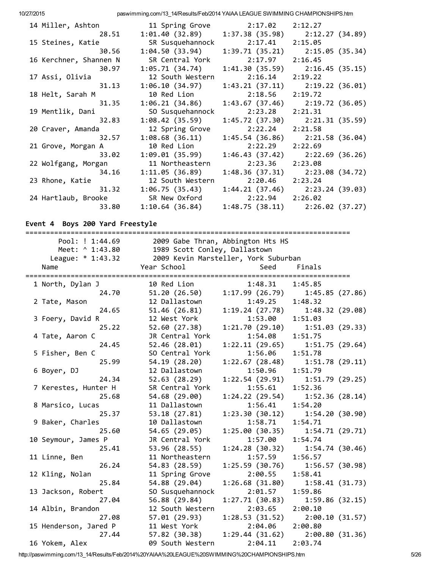| 14 Miller, Ashton      | 11 Spring Grove          | 2:17.02             | 2:12.27                             |
|------------------------|--------------------------|---------------------|-------------------------------------|
| 28.51                  | 1:01.40(32.89)           |                     | $1:37.38$ (35.98) $2:12.27$ (34.89) |
| 15 Steines, Katie      | SR Susquehannock         | 2:17.41             | 2:15.05                             |
| 30.56                  | 1:04.50(33.94)           |                     | $1:39.71(35.21)$ $2:15.05(35.34)$   |
| 16 Kerchner, Shannen N | SR Central York          | 2:17.97             | 2:16.45                             |
| 30.97                  | 1:05.71(34.74)           | 1:41.30(35.59)      | 2:16.45 (35.15)                     |
| 17 Assi, Olivia        | 12 South Western         | 2:16.14             | 2:19.22                             |
| 31.13                  | 1:06.10(34.97)           |                     | $1:43.21(37.11)$ $2:19.22(36.01)$   |
| 18 Helt, Sarah M       | 10 Red Lion 2:18.56      |                     | 2:19.72                             |
| 31.35                  | 1:06.21(34.86)           |                     | $1:43.67(37.46)$ $2:19.72(36.05)$   |
| 19 Mentlik, Dani       | SO Susquehannock 2:23.28 |                     | 2:21.31                             |
| 32.83                  | 1:08.42(35.59)           |                     | $1:45.72(37.30)$ $2:21.31(35.59)$   |
| 20 Craver, Amanda      | 12 Spring Grove          | 2:22.24             | 2:21.58                             |
| 32.57                  | 1:08.68(36.11)           |                     | $1:45.54$ (36.86) $2:21.58$ (36.04) |
| 21 Grove, Morgan A     | 10 Red Lion              | 2:22.29             | 2:22.69                             |
| 33.02                  | 1:09.01 (35.99)          |                     | $1:46.43(37.42)$ $2:22.69(36.26)$   |
| 22 Wolfgang, Morgan    | 11 Northeastern          | 2:23.36             | 2:23.08                             |
| 34.16                  | 1:11.05(36.89)           |                     | $1:48.36(37.31)$ $2:23.08(34.72)$   |
| 23 Rhone, Katie        | 12 South Western         | $2:20.46$ $2:23.24$ |                                     |
|                        | 31.32 1:06.75 (35.43)    |                     | $1:44.21(37.46)$ $2:23.24(39.03)$   |
| 24 Hartlaub, Brooke    |                          |                     | 2:26.02                             |
| 33.80                  | 1:10.64(36.84)           |                     | $1:48.75(38.11)$ $2:26.02(37.27)$   |

# Event 4 Boys 200 Yard Freestyle

| ================================                     |                                 | ===================================== |                |  |
|------------------------------------------------------|---------------------------------|---------------------------------------|----------------|--|
| 2009 Gabe Thran, Abbington Hts HS<br>Pool: ! 1:44.69 |                                 |                                       |                |  |
| Meet: ^ 1:43.80<br>1989 Scott Conley, Dallastown     |                                 |                                       |                |  |
| League: * 1:43.32                                    |                                 | 2009 Kevin Marsteller, York Suburban  |                |  |
| Name                                                 | Year School                     | Seed                                  | Finals         |  |
| 1 North, Dylan J                                     | 10 Red Lion                     | 1:48.31                               | 1:45.85        |  |
| 24.70                                                | 51.20 (26.50)                   | 1:17.99 (26.79)                       | 1:45.85(27.86) |  |
| 2 Tate, Mason                                        | 12 Dallastown                   | 1:49.25                               | 1:48.32        |  |
| 24.65                                                | 51.46(26.81)                    | 1:19.24 (27.78)                       | 1:48.32(29.08) |  |
| 3 Foery, David R                                     | 12 West York                    | 1:53.00                               | 1:51.03        |  |
| 25.22                                                | 52.60(27.38)                    | 1:21.70(29.10)                        | 1:51.03(29.33) |  |
| 4 Tate, Aaron C                                      | JR Central York                 | 1:54.08                               | 1:51.75        |  |
| 24.45                                                | 52.46 (28.01)                   | 1:22.11(29.65)                        | 1:51.75(29.64) |  |
| 5 Fisher, Ben C                                      | SO Central York                 | 1:56.06                               | 1:51.78        |  |
| 25.99                                                | 54.19(28.20)                    | 1:22.67(28.48)                        | 1:51.78(29.11) |  |
| 6 Boyer, DJ                                          | 12 Dallastown                   | 1:50.96                               | 1:51.79        |  |
| 24.34                                                |                                 |                                       |                |  |
|                                                      | 52.63(28.29)<br>SR Central York | 1:22.54 (29.91)                       | 1:51.79(29.25) |  |
| 7 Kerestes, Hunter H                                 |                                 | 1:55.61                               | 1:52.36        |  |
| 25.68                                                | 54.68 (29.00)                   | 1:24.22 (29.54)                       | 1:52.36(28.14) |  |
| 8 Marsico, Lucas                                     | 11 Dallastown                   | 1:56.41                               | 1:54.20        |  |
| 25.37                                                | 53.18 (27.81)                   | 1:23.30 (30.12)                       | 1:54.20(30.90) |  |
| 9 Baker, Charles                                     | 10 Dallastown                   | 1:58.71                               | 1:54.71        |  |
| 25.60                                                | 54.65 (29.05)                   | 1:25.00 (30.35)                       | 1:54.71(29.71) |  |
| 10 Seymour, James P                                  | JR Central York                 | 1:57.00                               | 1:54.74        |  |
| 25.41                                                | 53.96 (28.55)                   | 1:24.28 (30.32)                       | 1:54.74(30.46) |  |
| 11 Linne, Ben                                        | 11 Northeastern                 | 1:57.59                               | 1:56.57        |  |
| 26.24                                                | 54.83 (28.59)                   | 1:25.59 (30.76)                       | 1:56.57(30.98) |  |
| 12 Kling, Nolan                                      | 11 Spring Grove                 | 2:00.55                               | 1:58.41        |  |
| 25.84                                                | 54.88 (29.04)                   | 1:26.68 (31.80)                       | 1:58.41(31.73) |  |
| 13 Jackson, Robert                                   | SO Susquehannock                | 2:01.57                               | 1:59.86        |  |
| 27.04                                                | 56.88 (29.84)                   | 1:27.71 (30.83)                       | 1:59.86(32.15) |  |
| 14 Albin, Brandon                                    | 12 South Western                | 2:03.65                               | 2:00.10        |  |
| 27.08                                                | 57.01 (29.93)                   | 1:28.53(31.52)                        | 2:00.10(31.57) |  |
| 15 Henderson, Jared P                                | 11 West York                    | 2:04.06                               | 2:00.80        |  |
| 27.44                                                | 57.82 (30.38)                   | 1:29.44(31.62)                        | 2:00.80(31.36) |  |
| 16 Yokem, Alex                                       | 09 South Western                | 2:04.11                               | 2:03.74        |  |

http://paswimming.com/13\_14/Results/Feb/2014%20YAIAA%20LEAGUE%20SWIMMING%20CHAMPIONSHIPS.htm 5/26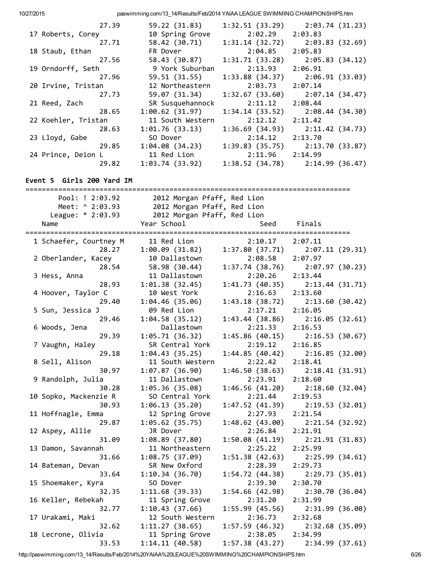|                     | 27.39 | 59.22 (31.83)    | 1:32.51 (33.29) | 2:03.74(31.23)                      |
|---------------------|-------|------------------|-----------------|-------------------------------------|
| 17 Roberts, Corey   |       | 10 Spring Grove  | 2:02.29         | 2:03.83                             |
|                     | 27.71 | 58.42 (30.71)    | 1:31.14(32.72)  | 2:03.83 (32.69)                     |
| 18 Staub, Ethan     |       | FR Dover         | 2:04.85         | 2:05.83                             |
|                     | 27.56 | 58.43 (30.87)    | 1:31.71(33.28)  | 2:05.83(34.12)                      |
| 19 Orndorff, Seth   |       | 9 York Suburban  | 2:13.93         | 2:06.91                             |
|                     | 27.96 | 59.51 (31.55)    | 1:33.88(34.37)  | 2:06.91 (33.03)                     |
| 20 Irvine, Tristan  |       | 12 Northeastern  | 2:03.73         | 2:07.14                             |
|                     | 27.73 | 59.07 (31.34)    | 1:32.67(33.60)  | 2:07.14 (34.47)                     |
| 21 Reed, Zach       |       | SR Susquehannock | 2:11.12         | 2:08.44                             |
|                     | 28.65 | 1:00.62(31.97)   | 1:34.14(33.52)  | 2:08.44 (34.30)                     |
| 22 Koehler, Tristan |       | 11 South Western | 2:12.12         | 2:11.42                             |
|                     | 28.63 | 1:01.76(33.13)   |                 | $1:36.69$ (34.93) $2:11.42$ (34.73) |
| 23 Lloyd, Gabe      |       | SO Dover         | 2:14.12         | 2:13.70                             |
|                     | 29.85 | 1:04.08(34.23)   |                 | $1:39.83(35.75)$ $2:13.70(33.87)$   |
| 24 Prince, Deion L  |       | 11 Red Lion      | 2:11.96         | 2:14.99                             |
|                     | 29.82 | 1:03.74(33.92)   |                 | $1:38.52(34.78)$ $2:14.99(36.47)$   |

#### Event 5 Girls 200 Yard IM

| ================================ |                             | ================================== |                 |
|----------------------------------|-----------------------------|------------------------------------|-----------------|
| Pool: ! 2:03.92                  | 2012 Morgan Pfaff, Red Lion |                                    |                 |
| Meet: ^ 2:03.93                  | 2012 Morgan Pfaff, Red Lion |                                    |                 |
| League: * 2:03.93                | 2012 Morgan Pfaff, Red Lion |                                    |                 |
| Name                             | Year School                 | Seed                               | Finals          |
|                                  |                             |                                    |                 |
| 1 Schaefer, Courtney M           | 11 Red Lion                 | 2:10.17                            | 2:07.11         |
| 28.27                            | 1:00.09(31.82)              | 1:37.80(37.71)                     | 2:07.11(29.31)  |
| 2 Oberlander, Kacey              | 10 Dallastown               | 2:08.58                            | 2:07.97         |
| 28.54                            | 58.98 (30.44)               | 1:37.74(38.76)                     | 2:07.97(30.23)  |
| 3 Hess, Anna                     | 11 Dallastown               | 2:20.26                            | 2:13.44         |
| 28.93                            | 1:01.38(32.45)              | 1:41.73(40.35)                     | 2:13.44(31.71)  |
| 4 Hoover, Taylor C               | 10 West York                | 2:16.63                            | 2:13.60         |
| 29.40                            | 1:04.46(35.06)              | 1:43.18(38.72)                     | 2:13.60(30.42)  |
| 5 Sun, Jessica J                 | 09 Red Lion                 | 2:17.21                            | 2:16.05         |
| 29.46                            | 1:04.58(35.12)              | 1:43.44(38.86)                     | 2:16.05(32.61)  |
| 6 Woods, Jena                    | Dallastown                  | 2:21.33                            | 2:16.53         |
| 29.39                            | 1:05.71(36.32)              | 1:45.86(40.15)                     | 2:16.53(30.67)  |
| 7 Vaughn, Haley                  | SR Central York             | 2:19.12                            | 2:16.85         |
| 29.18                            | 1:04.43(35.25)              | 1:44.85(40.42)                     | 2:16.85(32.00)  |
| 8 Sell, Alison                   | 11 South Western            | 2:22.42                            | 2:18.41         |
| 30.97                            | 1:07.87(36.90)              | 1:46.50(38.63)                     | 2:18.41(31.91)  |
| 9 Randolph, Julia                | 11 Dallastown               | 2:23.91                            | 2:18.60         |
| 30.28                            | 1:05.36(35.08)              | 1:46.56(41.20)                     | 2:18.60(32.04)  |
| 10 Sopko, Mackenzie R            | SO Central York             | 2:21.44                            | 2:19.53         |
| 30.93                            | 1:06.13(35.20)              | 1:47.52(41.39)                     | 2:19.53(32.01)  |
| 11 Hoffnagle, Emma               | 12 Spring Grove             | 2:27.93                            | 2:21.54         |
| 29.87                            | 1:05.62(35.75)              | 1:48.62(43.00)                     | 2:21.54(32.92)  |
| 12 Aspey, Allie                  | JR Dover                    | 2:26.84                            | 2:21.91         |
| 31.09                            | 1:08.89(37.80)              | 1:50.08(41.19)                     | 2:21.91(31.83)  |
| 13 Damon, Savannah               | 11 Northeastern             | 2:25.22                            | 2:25.99         |
| 31.66                            | 1:08.75(37.09)              | 1:51.38(42.63)                     | 2:25.99(34.61)  |
| 14 Bateman, Devan                | SR New Oxford               | 2:28.39                            | 2:29.73         |
| 33.64                            | 1:10.34(36.70)              | 1:54.72(44.38)                     | 2:29.73(35.01)  |
| 15 Shoemaker, Kyra               | SO Dover                    | 2:39.30                            | 2:30.70         |
| 32.35                            | 1:11.68(39.33)              | 1:54.66(42.98)                     | 2:30.70(36.04)  |
| 16 Keller, Rebekah               | 11 Spring Grove             | 2:31.20                            | 2:31.99         |
| 32.77                            | 1:10.43(37.66)              | 1:55.99(45.56)                     | 2:31.99(36.00)  |
| 17 Urakami, Maki                 | 12 South Western            | 2:36.73                            | 2:32.68         |
| 32.62                            | 1:11.27(38.65)              | 1:57.59 (46.32)                    | 2:32.68(35.09)  |
| 18 Lecrone, Olivia               | 11 Spring Grove             | 2:38.05                            | 2:34.99         |
| 33.53                            | 1:14.11(40.58)              | 1:57.38(43.27)                     | 2:34.99 (37.61) |

http://paswimming.com/13\_14/Results/Feb/2014%20YAIAA%20LEAGUE%20SWIMMING%20CHAMPIONSHIPS.htm 6/26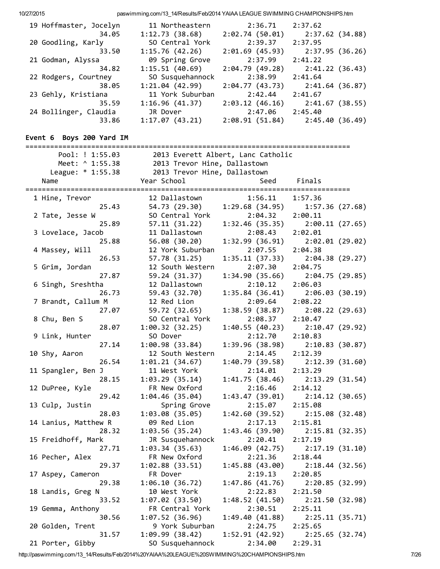| 10/27/2015 |                            | paswimming.com/13_14/Results/Feb/2014 YAIAA LEAGUE SWIMMING CHAMPIONSHIPS.htm |                                    |                           |
|------------|----------------------------|-------------------------------------------------------------------------------|------------------------------------|---------------------------|
|            | 19 Hoffmaster, Jocelyn     | 11 Northeastern                                                               | 2:36.71                            | 2:37.62                   |
|            | 34.05                      | 1:12.73(38.68)                                                                | 2:02.74(50.01)                     | 2:37.62(34.88)            |
|            | 20 Goodling, Karly         | SO Central York                                                               | 2:39.37                            | 2:37.95                   |
|            | 33.50                      | 1:15.76(42.26)                                                                | 2:01.69(45.93)                     | 2:37.95(36.26)            |
|            | 21 Godman, Alyssa          | 09 Spring Grove                                                               | 2:37.99                            | 2:41.22                   |
|            | 34.82                      | 1:15.51(40.69)                                                                | 2:04.79(49.28)                     | 2:41.22(36.43)            |
|            | 22 Rodgers, Courtney       | SO Susquehannock                                                              | 2:38.99                            | 2:41.64                   |
|            | 38.05                      | 1:21.04(42.99)                                                                | 2:04.77(43.73)                     | 2:41.64(36.87)            |
|            | 23 Gehly, Kristiana        | 11 York Suburban                                                              | 2:42.44                            | 2:41.67                   |
|            | 35.59                      | 1:16.96(41.37)                                                                | 2:03.12(46.16)                     | 2:41.67(38.55)            |
|            | 24 Bollinger, Claudia      | JR Dover                                                                      | 2:47.06                            | 2:45.40                   |
|            | 33.86                      | 1:17.07(43.21)                                                                | 2:08.91(51.84)                     | 2:45.40(36.49)            |
|            | Event 6 Boys 200 Yard IM   |                                                                               |                                    |                           |
|            | Pool: ! 1:55.03            |                                                                               | 2013 Everett Albert, Lanc Catholic |                           |
|            | Meet: ^ 1:55.38            | 2013 Trevor Hine, Dallastown                                                  |                                    |                           |
|            | League: * 1:55.38          | 2013 Trevor Hine, Dallastown                                                  |                                    |                           |
|            | Name                       | Year School                                                                   | Seed                               | Finals                    |
|            |                            |                                                                               |                                    |                           |
|            | 1 Hine, Trevor             | 12 Dallastown                                                                 | 1:56.11                            | 1:57.36                   |
|            | 25.43                      | 54.73 (29.30)                                                                 | 1:29.68(34.95)                     | 1:57.36(27.68)            |
|            | 2 Tate, Jesse W            | SO Central York                                                               | 2:04.32                            | 2:00.11                   |
|            | 25.89                      | 57.11(31.22)                                                                  | 1:32.46 (35.35)                    | 2:00.11(27.65)            |
|            | 3 Lovelace, Jacob<br>25.88 | 11 Dallastown<br>56.08 (30.20)                                                | 2:08.43<br>1:32.99(36.91)          | 2:02.01<br>2:02.01(29.02) |
|            | 4 Massey, Will             | 12 York Suburban                                                              | 2:07.55                            | 2:04.38                   |
|            | 26.53                      | 57.78 (31.25)                                                                 | 1:35.11(37.33)                     | 2:04.38(29.27)            |
|            | 5 Grim, Jordan             | 12 South Western                                                              | 2:07.30                            | 2:04.75                   |
|            | 27.87                      | 59.24 (31.37)                                                                 | 1:34.90(35.66)                     | 2:04.75(29.85)            |
|            | 6 Singh, Sreshtha          | 12 Dallastown                                                                 | 2:10.12                            | 2:06.03                   |
|            | 26.73                      | 59.43 (32.70)                                                                 | 1:35.84(36.41)                     | 2:06.03(30.19)            |
|            | 7 Brandt, Callum M         | 12 Red Lion                                                                   | 2:09.64                            | 2:08.22                   |
|            | 27.07                      | 59.72 (32.65)                                                                 | 1:38.59 (38.87)                    | 2:08.22(29.63)            |
|            | 8 Chu, Ben S               | SO Central York                                                               | 2:08.37                            | 2:10.47                   |
|            | 28.07                      | 1:00.32(32.25)                                                                | 1:40.55(40.23)                     | 2:10.47(29.92)            |
|            | 9 Link, Hunter             | SO Dover                                                                      | 2:12.70                            | 2:10.83                   |
|            | 27.14                      | 1:00.98(33.84)                                                                | 1:39.96(38.98)                     | 2:10.83(30.87)            |
|            | 10 Shy, Aaron              | 12 South Western                                                              | 2:14.45                            | 2:12.39                   |
|            | 26.54                      | 1:01.21(34.67)                                                                | 1:40.79(39.58)                     | 2:12.39(31.60)            |
|            | 11 Spangler, Ben J         | 11 West York                                                                  | 2:14.01                            | 2:13.29                   |
|            | 28.15                      | 1:03.29(35.14)                                                                | 1:41.75(38.46)                     | 2:13.29(31.54)            |
|            | 12 DuPree, Kyle            | FR New Oxford                                                                 | 2:16.46                            | 2:14.12                   |
|            | 29.42                      | 1:04.46(35.04)                                                                | 1:43.47(39.01)<br>2:15.07          | 2:14.12(30.65)            |
|            | 13 Culp, Justin<br>28.03   | Spring Grove<br>1:03.08(35.05)                                                | 1:42.60 (39.52)                    | 2:15.08<br>2:15.08(32.48) |
|            | 14 Lanius, Matthew R       | 09 Red Lion                                                                   | 2:17.13                            | 2:15.81                   |
|            | 28.32                      | 1:03.56 (35.24)                                                               | 1:43.46(39.90)                     | 2:15.81(32.35)            |
|            | 15 Freidhoff, Mark         | JR Susquehannock                                                              | 2:20.41                            | 2:17.19                   |
|            | 27.71                      | 1:03.34(35.63)                                                                | 1:46.09(42.75)                     | 2:17.19(31.10)            |
|            | 16 Pecher, Alex            | FR New Oxford                                                                 | 2:21.36                            | 2:18.44                   |
|            | 29.37                      | 1:02.88(33.51)                                                                | 1:45.88(43.00)                     | 2:18.44(32.56)            |
|            | 17 Aspey, Cameron          | FR Dover                                                                      | 2:19.13                            | 2:20.85                   |
|            | 29.38                      | 1:06.10(36.72)                                                                | 1:47.86(41.76)                     | 2:20.85(32.99)            |
|            | 18 Landis, Greg N          | 10 West York                                                                  | 2:22.83                            | 2:21.50                   |
|            | 33.52                      | 1:07.02(33.50)                                                                | 1:48.52(41.50)                     | 2:21.50(32.98)            |
|            | 19 Gemma, Anthony          | FR Central York                                                               | 2:30.51                            | 2:25.11                   |
|            | 30.56                      | 1:07.52(36.96)                                                                | 1:49.40(41.88)                     | 2:25.11(35.71)            |
|            | 20 Golden, Trent           | 9 York Suburban                                                               | 2:24.75                            | 2:25.65                   |
|            | 31.57                      | 1:09.99(38.42)                                                                | 1:52.91(42.92)                     | 2:25.65(32.74)            |
|            | 21 Porter, Gibby           | SO Susquehannock                                                              | 2:34.00                            | 2:29.31                   |

http://paswimming.com/13\_14/Results/Feb/2014%20YAIAA%20LEAGUE%20SWIMMING%20CHAMPIONSHIPS.htm 7/26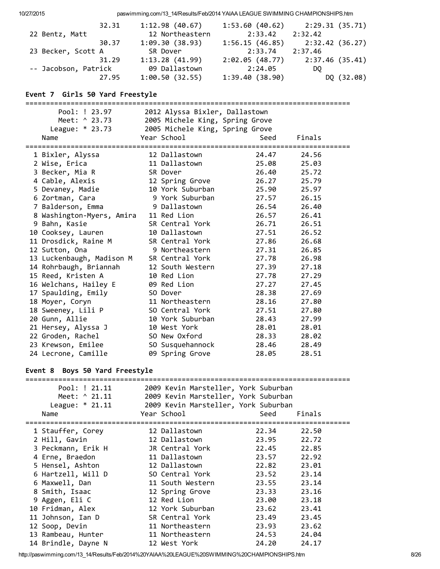| 10/27/2015 |                                                                  | paswimming.com/13_14/Results/Feb/2014 YAIAA LEAGUE SWIMMING CHAMPIONSHIPS.htm |                                    |                                          |  |
|------------|------------------------------------------------------------------|-------------------------------------------------------------------------------|------------------------------------|------------------------------------------|--|
|            | 32.31<br>22 Bentz, Matt                                          | 1:12.98(40.67)<br>12 Northeastern                                             | 1:53.60 (40.62)<br>2:33.42 2:32.42 | 2:29.31(35.71)                           |  |
|            | 30.37                                                            | 1:09.30(38.93)                                                                | 1:56.15(46.85)<br>2:33.74 2:37.46  | 2:32.42(36.27)                           |  |
|            | 23 Becker, Scott A<br>31.29                                      | SR Dover<br>1:13.28 (41.99)                                                   | 2:02.05 (48.77)                    | 2:37.46(35.41)                           |  |
|            | -- Jacobson, Patrick                                             | 09 Dallastown                                                                 | 2:24.05                            | DQ                                       |  |
|            | 27.95                                                            | 1:00.50 (32.55)                                                               | 1:39.40(38.90)                     | DQ (32.08)                               |  |
|            | Event 7 Girls 50 Yard Freestyle                                  |                                                                               |                                    |                                          |  |
|            | =================================<br>Pool: ! 23.97               | 2012 Alyssa Bixler, Dallastown                                                |                                    |                                          |  |
|            | Meet: ^ 23.73                                                    | 2005 Michele King, Spring Grove                                               |                                    |                                          |  |
|            | League: * 23.73                                                  | 2005 Michele King, Spring Grove                                               |                                    |                                          |  |
|            | Name                                                             | Year School                                                                   | Seed                               | Finals                                   |  |
|            | 1 Bixler, Alyssa                                                 | 12 Dallastown                                                                 | 24.47                              | 24.56                                    |  |
|            | 2 Wise, Erica                                                    | 11 Dallastown                                                                 | 25.08                              | 25.03                                    |  |
|            | 3 Becker, Mia R                                                  | SR Dover                                                                      | 26.40                              | 25.72                                    |  |
|            | 4 Cable, Alexis                                                  | 12 Spring Grove                                                               | 26.27                              | 25.79                                    |  |
|            | 5 Devaney, Madie                                                 | 10 York Suburban                                                              | 25.90                              | 25.97                                    |  |
|            | 6 Zortman, Cara                                                  | 9 York Suburban                                                               | 27.57                              | 26.15                                    |  |
|            | 7 Balderson, Emma                                                | 9 Dallastown                                                                  | 26.54<br>26.57                     | 26.40                                    |  |
|            | 8 Washington-Myers, Amira<br>9 Bahn, Kasie                       | 11 Red Lion<br>SR Central York                                                | 26.71                              | 26.41<br>26.51                           |  |
|            | 10 Cooksey, Lauren                                               | 10 Dallastown                                                                 | 27.51                              | 26.52                                    |  |
|            | 11 Drosdick, Raine M                                             | SR Central York                                                               | 27.86                              | 26.68                                    |  |
|            | 12 Sutton, Ona                                                   | 9 Northeastern                                                                | 27.31                              | 26.85                                    |  |
|            | 13 Luckenbaugh, Madison M                                        | SR Central York                                                               | 27.78                              | 26.98                                    |  |
|            | 14 Rohrbaugh, Briannah                                           | 12 South Western                                                              | 27.39                              | 27.18                                    |  |
|            | 15 Reed, Kristen A                                               | 10 Red Lion                                                                   | 27.78                              | 27.29                                    |  |
|            | 16 Welchans, Hailey E                                            | 09 Red Lion                                                                   | 27.27                              | 27.45                                    |  |
|            | 17 Spaulding, Emily                                              | SO Dover                                                                      | 28.38                              | 27.69                                    |  |
|            | 18 Moyer, Coryn                                                  | 11 Northeastern                                                               | 28.16                              | 27.80                                    |  |
|            | 18 Sweeney, Lili P                                               | SO Central York                                                               | 27.51                              | 27.80                                    |  |
|            | 20 Gunn, Allie                                                   | 10 York Suburban                                                              | 28.43                              | 27.99                                    |  |
|            | 21 Hersey, Alyssa J                                              | 10 West York                                                                  | 28.01                              | 28.01                                    |  |
|            | 22 Groden, Rachel<br>23 Krewson, Emilee                          | SO New Oxford                                                                 | 28.33<br>28.46                     | 28.02<br>28.49                           |  |
|            | 24 Lecrone, Camille                                              | SO Susquehannock<br>09 Spring Grove                                           | 28.05                              | 28.51                                    |  |
|            |                                                                  |                                                                               |                                    |                                          |  |
|            | Event 8 Boys 50 Yard Freestyle<br>============================== |                                                                               |                                    |                                          |  |
|            | Pool: ! 21.11                                                    | 2009 Kevin Marsteller, York Suburban                                          |                                    |                                          |  |
|            | Meet: ^ 21.11                                                    | 2009 Kevin Marsteller, York Suburban                                          |                                    |                                          |  |
|            | League: $* 21.11$                                                | 2009 Kevin Marsteller, York Suburban                                          |                                    |                                          |  |
|            | Name                                                             | Year School<br>:============                                                  | Seed                               | Finals<br>============================== |  |
|            | 1 Stauffer, Corey                                                | 12 Dallastown                                                                 | 22.34                              | 22.50                                    |  |
|            | 2 Hill, Gavin                                                    | 12 Dallastown                                                                 | 23.95                              | 22.72                                    |  |
|            | 3 Peckmann, Erik H                                               | JR Central York                                                               | 22.45                              | 22.85                                    |  |
|            | 4 Erne, Braedon                                                  | 11 Dallastown                                                                 | 23.57                              | 22.92                                    |  |
|            | 5 Hensel, Ashton                                                 | 12 Dallastown                                                                 | 22.82                              | 23.01                                    |  |
|            | 6 Hartzell, Will D                                               | SO Central York                                                               | 23.52                              | 23.14                                    |  |
|            | 6 Maxwell, Dan                                                   | 11 South Western                                                              | 23.55                              | 23.14                                    |  |
|            | 8 Smith, Isaac                                                   | 12 Spring Grove                                                               | 23.33                              | 23.16                                    |  |
|            | 9 Aggen, Eli C                                                   | 12 Red Lion                                                                   | 23.00                              | 23.18                                    |  |
|            | 10 Fridman, Alex                                                 | 12 York Suburban                                                              | 23.62                              | 23.41                                    |  |
|            | 11 Johnson, Ian D<br>12 Soop, Devin                              | SR Central York<br>11 Northeastern                                            | 23.49<br>23.93                     | 23.45<br>23.62                           |  |
|            | 13 Rambeau, Hunter                                               | 11 Northeastern                                                               | 24.53                              | 24.04                                    |  |
|            | 14 Brindle, Dayne N                                              | 12 West York                                                                  | 24.20                              | 24.17                                    |  |
|            |                                                                  |                                                                               |                                    |                                          |  |

http://paswimming.com/13\_14/Results/Feb/2014%20YAIAA%20LEAGUE%20SWIMMING%20CHAMPIONSHIPS.htm 8/26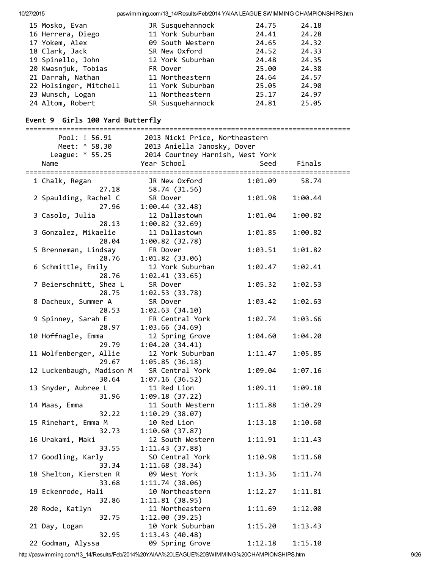| 10/27/2015          |                                                 | paswimming.com/13_14/Results/Feb/2014 YAIAA LEAGUE SWIMMING CHAMPIONSHIPS.htm |         |           |  |
|---------------------|-------------------------------------------------|-------------------------------------------------------------------------------|---------|-----------|--|
| 15 Mosko, Evan      |                                                 | JR Susquehannock                                                              | 24.75   | 24.18     |  |
| 16 Herrera, Diego   |                                                 | 11 York Suburban                                                              | 24.41   | 24.28     |  |
| 17 Yokem, Alex      |                                                 | 09 South Western                                                              | 24.65   | 24.32     |  |
| 18 Clark, Jack      |                                                 | SR New Oxford                                                                 | 24.52   | 24.33     |  |
| 19 Spinello, John   |                                                 | 12 York Suburban                                                              | 24.48   | 24.35     |  |
| 20 Kwasnjuk, Tobias |                                                 | FR Dover                                                                      | 25.00   | 24.38     |  |
| 21 Darrah, Nathan   |                                                 | 11 Northeastern                                                               | 24.64   | 24.57     |  |
|                     | 22 Holsinger, Mitchell                          | 11 York Suburban                                                              | 25.05   | 24.90     |  |
| 23 Wunsch, Logan    |                                                 | 11 Northeastern                                                               | 25.17   | 24.97     |  |
| 24 Altom, Robert    |                                                 | SR Susquehannock                                                              | 24.81   | 25.05     |  |
|                     |                                                 |                                                                               |         |           |  |
|                     | Event 9 Girls 100 Yard Butterfly                |                                                                               |         |           |  |
|                     | ==============================<br>Pool: ! 56.91 | 2013 Nicki Price, Northeastern                                                |         |           |  |
|                     | Meet: ^ 58.30                                   | 2013 Aniella Janosky, Dover                                                   |         |           |  |
|                     |                                                 | League: * 55.25 2014 Courtney Harnish, West York                              |         |           |  |
| Name                |                                                 | Year School                                                                   | Seed    | Finals    |  |
|                     |                                                 |                                                                               |         | ========= |  |
| 1 Chalk, Regan      |                                                 | JR New Oxford                                                                 | 1:01.09 | 58.74     |  |
|                     | 27.18                                           | 58.74 (31.56)                                                                 |         |           |  |
|                     | 2 Spaulding, Rachel C                           | SR Dover                                                                      | 1:01.98 | 1:00.44   |  |
|                     | 27.96                                           |                                                                               |         |           |  |
|                     |                                                 | 1:00.44(32.48)                                                                |         | 1:00.82   |  |
| 3 Casolo, Julia     |                                                 | 12 Dallastown                                                                 | 1:01.04 |           |  |
|                     | 28.13                                           | 1:00.82(32.69)                                                                |         |           |  |
|                     | 3 Gonzalez, Mikaelie                            | 11 Dallastown                                                                 | 1:01.85 | 1:00.82   |  |
|                     | 28.04                                           | 1:00.82(32.78)                                                                |         |           |  |
|                     | 5 Brenneman, Lindsay                            | FR Dover                                                                      | 1:03.51 | 1:01.82   |  |
|                     | 28.76                                           | 1:01.82(33.06)                                                                |         |           |  |
|                     | 6 Schmittle, Emily                              | 12 York Suburban                                                              | 1:02.47 | 1:02.41   |  |
|                     | 28.76                                           | 1:02.41(33.65)                                                                |         |           |  |
|                     | 7 Beierschmitt, Shea L                          | SR Dover                                                                      | 1:05.32 | 1:02.53   |  |
|                     | 28.75                                           | 1:02.53(33.78)                                                                |         |           |  |
|                     | 8 Dacheux, Summer A                             | SR Dover                                                                      | 1:03.42 | 1:02.63   |  |
|                     | 28.53                                           | 1:02.63(34.10)                                                                |         |           |  |
|                     | 9 Spinney, Sarah E                              | FR Central York                                                               | 1:02.74 | 1:03.66   |  |
|                     | 28.97                                           | 1:03.66 (34.69)                                                               |         |           |  |
| 10 Hoffnagle, Emma  |                                                 | 12 Spring Grove                                                               | 1:04.60 | 1:04.20   |  |
|                     | 29.79                                           | 1:04.20(34.41)                                                                |         |           |  |
|                     | 11 Wolfenberger, Allie                          | 12 York Suburban                                                              | 1:11.47 | 1:05.85   |  |
|                     | 29.67                                           | 1:05.85(36.18)                                                                |         |           |  |
|                     | 12 Luckenbaugh, Madison M                       | SR Central York                                                               | 1:09.04 | 1:07.16   |  |
|                     | 30.64                                           | 1:07.16(36.52)                                                                |         |           |  |
| 13 Snyder, Aubree L |                                                 | 11 Red Lion                                                                   | 1:09.11 | 1:09.18   |  |
|                     | 31.96                                           | 1:09.18(37.22)                                                                |         |           |  |
| 14 Maas, Emma       |                                                 | 11 South Western                                                              | 1:11.88 | 1:10.29   |  |
|                     | 32.22                                           | 1:10.29(38.07)                                                                |         |           |  |
| 15 Rinehart, Emma M |                                                 | 10 Red Lion                                                                   | 1:13.18 | 1:10.60   |  |
|                     |                                                 |                                                                               |         |           |  |
|                     | 32.73                                           | 1:10.60(37.87)                                                                |         |           |  |
| 16 Urakami, Maki    |                                                 | 12 South Western                                                              | 1:11.91 | 1:11.43   |  |
|                     | 33.55                                           | 1:11.43(37.88)                                                                |         |           |  |
| 17 Goodling, Karly  |                                                 | SO Central York                                                               | 1:10.98 | 1:11.68   |  |
|                     | 33.34                                           | 1:11.68(38.34)                                                                |         |           |  |
|                     | 18 Shelton, Kiersten R                          | 09 West York                                                                  | 1:13.36 | 1:11.74   |  |
|                     | 33.68                                           | 1:11.74(38.06)                                                                |         |           |  |
| 19 Eckenrode, Hali  |                                                 | 10 Northeastern                                                               | 1:12.27 | 1:11.81   |  |
|                     | 32.86                                           | 1:11.81(38.95)                                                                |         |           |  |
| 20 Rode, Katlyn     |                                                 | 11 Northeastern                                                               | 1:11.69 | 1:12.00   |  |
|                     | 32.75                                           | 1:12.00(39.25)                                                                |         |           |  |
| 21 Day, Logan       |                                                 | 10 York Suburban                                                              | 1:15.20 | 1:13.43   |  |
|                     | 32.95                                           | 1:13.43(40.48)                                                                |         |           |  |
| 22 Godman, Alyssa   |                                                 | 09 Spring Grove                                                               | 1:12.18 | 1:15.10   |  |

http://paswimming.com/13\_14/Results/Feb/2014%20YAIAA%20LEAGUE%20SWIMMING%20CHAMPIONSHIPS.htm 9/26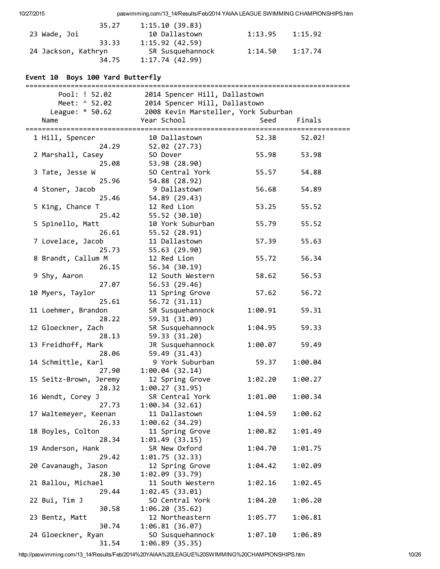| 35.27               | 1:15.10(39.83)   |         |         |
|---------------------|------------------|---------|---------|
| 23 Wade, Joi        | 10 Dallastown    | 1:13.95 | 1:15.92 |
| 33.33               | 1:15.92(42.59)   |         |         |
| 24 Jackson, Kathryn | SR Susquehannock | 1:14.50 | 1:17.74 |
| 34.75               | 1:17.74(42.99)   |         |         |

# Event 10 Boys 100 Yard Butterfly

| Pool: ! 52.02<br>Meet: ^ 52.02 | 2014 Spencer Hill, Dallastown                        |              |         |
|--------------------------------|------------------------------------------------------|--------------|---------|
|                                | 2014 Spencer Hill, Dallastown                        |              |         |
|                                | League: * 50.62 2008 Kevin Marsteller, York Suburban |              |         |
| Name                           | Year School                                          | Seed         | Finals  |
| 1 Hill, Spencer<br>24.29       | 10 Dallastown                                        | 52.38 52.02! |         |
| 2 Marshall, Casey              | 52.02 (27.73)<br>SO Dover                            | 55.98        | 53.98   |
| 25.08                          | 53.98 (28.90)                                        |              |         |
| 3 Tate, Jesse W                | SO Central York                                      | 55.57        | 54.88   |
| 25.96                          | 54.88 (28.92)                                        |              |         |
| 4 Stoner, Jacob                | 9 Dallastown                                         | 56.68        | 54.89   |
| 25.46                          | 54.89 (29.43)                                        |              |         |
| 5 King, Chance T               | 12 Red Lion                                          | 53.25        | 55.52   |
| 25.42                          | 55.52 (30.10)                                        |              |         |
| 5 Spinello, Matt               | 10 York Suburban                                     | 55.79        | 55.52   |
| 26.61                          |                                                      |              |         |
|                                | 55.52 (28.91)<br>11 Dallastown                       |              |         |
| 7 Lovelace, Jacob              |                                                      | 57.39        | 55.63   |
| 25.73                          | 55.63 (29.90)                                        |              |         |
| 8 Brandt, Callum M             | 12 Red Lion                                          | 55.72        | 56.34   |
| 26.15                          | 56.34(30.19)                                         |              |         |
| 9 Shy, Aaron                   | 12 South Western                                     | 58.62        | 56.53   |
| 27.07                          | 56.53 (29.46)                                        |              |         |
| 10 Myers, Taylor               | 11 Spring Grove                                      | 57.62        | 56.72   |
| 25.61                          | 56.72 (31.11)                                        |              |         |
| 11 Loehmer, Brandon            | SR Susquehannock                                     | 1:00.91      | 59.31   |
| 28.22                          | 59.31 (31.09)                                        |              |         |
| 12 Gloeckner, Zach             | SR Susquehannock                                     | 1:04.95      | 59.33   |
| 28.13                          | 59.33 (31.20)                                        |              |         |
| 13 Freidhoff, Mark             | JR Susquehannock                                     | 1:00.07      | 59.49   |
| 28.06                          | 59.49 (31.43)                                        |              |         |
| 14 Schmittle, Karl             | 9 York Suburban                                      | 59.37        | 1:00.04 |
|                                | 27.90 1:00.04 (32.14)                                |              |         |
| 15 Seitz-Brown, Jeremy         | 12 Spring Grove                                      | 1:02.20      | 1:00.27 |
|                                | 28.32 1:00.27 (31.95)                                |              |         |
| 16 Wendt, Corey J              | SR Central York                                      | 1:01.00      | 1:00.34 |
| 27.73                          | 1:00.34 (32.61)                                      |              |         |
| 17 Waltemeyer, Keenan          | 11 Dallastown                                        | 1:04.59      | 1:00.62 |
| 26.33                          | 1:00.62(34.29)                                       |              |         |
| 18 Boyles, Colton              | 11 Spring Grove                                      | 1:00.82      | 1:01.49 |
| 28.34                          | 1:01.49(33.15)                                       |              |         |
| 19 Anderson, Hank              | SR New Oxford                                        | 1:04.70      | 1:01.75 |
| 29.42                          | 1:01.75(32.33)                                       |              |         |
| 20 Cavanaugh, Jason            | 12 Spring Grove                                      | 1:04.42      | 1:02.09 |
| 28.30                          | 1:02.09(33.79)                                       |              |         |
| 21 Ballou, Michael             | 11 South Western                                     | 1:02.16      | 1:02.45 |
| 29.44                          | 1:02.45(33.01)                                       |              |         |
| 22 Bui, Tim J                  | SO Central York                                      | 1:04.20      | 1:06.20 |
| 30.58                          | 1:06.20(35.62)                                       |              |         |
| 23 Bentz, Matt                 | 12 Northeastern                                      | 1:05.77      | 1:06.81 |
| 30.74                          | 1:06.81(36.07)                                       |              |         |
| 24 Gloeckner, Ryan             | SO Susquehannock                                     | 1:07.10      | 1:06.89 |
| 31.54                          | 1:06.89(35.35)                                       |              |         |
|                                |                                                      |              |         |

http://paswimming.com/13\_14/Results/Feb/2014%20YAIAA%20LEAGUE%20SWIMMING%20CHAMPIONSHIPS.htm 10/26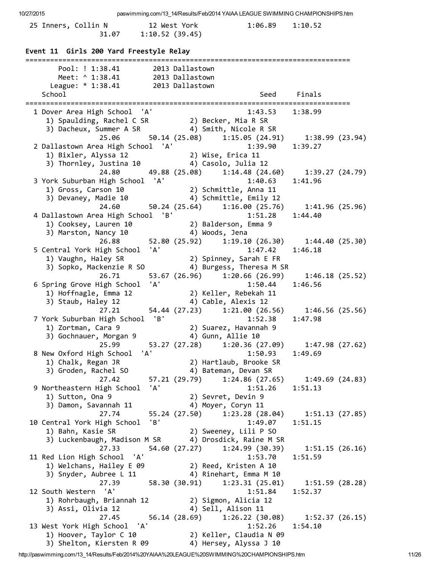10/27/2015 paswimming.com/13\_14/Results/Feb/2014 YAIAA LEAGUE SWIMMING CHAMPIONSHIPS.htm 25 Inners, Collin N 12 West York 1:06.89 1:10.52 31.07 1:10.52 (39.45) Event 11 Girls 200 Yard Freestyle Relay =============================================================================== Pool: ! 1:38.41 2013 Dallastown Meet: ^ 1:38.41 2013 Dallastown League: \* 1:38.41 2013 Dallastown School School Seed Finals =============================================================================== 1 Dover Area High School 'A' 1:43.53 1:38.99 1) Spaulding, Rachel C SR 2) Becker, Mia R SR 3) Dacheux, Summer A SR 4) Smith, Nicole R SR 25.06 50.14 (25.08) 1:15.05 (24.91) 1:38.99 (23.94) 2 Dallastown Area High School 'A' 1:39.90 1:39.27 1) Bixler, Alyssa 12 2) Wise, Erica 11 3) Thornley, Justina 10 (4) Casolo, Julia 12  $24.80$   $49.88$   $(25.08)$   $1.14.48$   $(24.60)$   $1.39.27$   $(24.79)$ 3 York Suburban High School 'A' 1:40.63 1:41.96 1) Gross, Carson 10 2) Schmittle, Anna 11 3) Devaney, Madie 10 4) Schmittle, Emily 12 24.60 50.24 (25.64) 1:16.00 (25.76) 1:41.96 (25.96) 4 Dallastown Area High School 'B' 1:51.28 1:44.40 1) Cooksey, Lauren 10 2) Balderson, Emma 9 3) Marston, Nancy 10 (4) Woods, Jena 26.88 52.80 (25.92) 1:19.10 (26.30) 1:44.40 (25.30) 5 Central York High School 'A' 1:47.42 1:46.18 1) Vaughn, Haley SR 2) Spinney, Sarah E FR 3) Sopko, Mackenzie R SO 4) Burgess, Theresa M SR 26.71 53.67 (26.96) 1:20.66 (26.99) 1:46.18 (25.52) 6 Spring Grove High School 'A' 1:50.44 1:46.56 1) Hoffnagle, Emma 12 2) Keller, Rebekah 11 3) Staub, Haley 12 (4) Cable, Alexis 12 27.21 54.44 (27.23) 1:21.00 (26.56) 1:46.56 (25.56) 7 York Suburban High School 'B' 1:52.38 1:47.98 1) Zortman, Cara 9 2) Suarez, Havannah 9 3) Gochnauer, Morgan 9 (4) Gunn, Allie 10 25.99 53.27 (27.28) 1:20.36 (27.09) 1:47.98 (27.62) 8 New Oxford High School 'A' 1:50.93 1:49.69 1) Chalk, Regan JR 2) Hartlaub, Brooke SR 3) Groden, Rachel SO 4) Bateman, Devan SR 27.42 57.21 (29.79) 1:24.86 (27.65) 1:49.69 (24.83) 9 Northeastern High School 'A' 1:51.26 1:51.13 1) Sutton, Ona 9 2) Sevret, Devin 9 3) Damon, Savannah 11 (4) Moyer, Coryn 11 27.74 55.24 (27.50) 1:23.28 (28.04) 1:51.13 (27.85) 10 Central York High School 'B' 1:49.07 1:51.15 1) Bahn, Kasie SR 2) Sweeney, Lili P SO 3) Luckenbaugh, Madison M SR 4) Drosdick, Raine M SR 27.33 54.60 (27.27) 1:24.99 (30.39) 1:51.15 (26.16) 11 Red Lion High School 'A' 1:53.70 1:51.59 1) Welchans, Hailey E 09 2) Reed, Kristen A 10 3) Snyder, Aubree L 11 4) Rinehart, Emma M 10 27.39 58.30 (30.91) 1:23.31 (25.01) 1:51.59 (28.28) 12 South Western 'A' 1:51.84 1:52.37 1) Rohrbaugh, Briannah 12 2) Sigmon, Alicia 12 3) Assi, Olivia 12 4) Sell, Alison 11 27.45 56.14 (28.69) 1:26.22 (30.08) 1:52.37 (26.15) 13 West York High School 'A' 1:52.26 1:54.10 1) Hoover, Taylor C 10 2) Keller, Claudia N 09 3) Shelton, Kiersten R 09 4) Hersey, Alyssa J 10

http://paswimming.com/13\_14/Results/Feb/2014%20YAIAA%20LEAGUE%20SWIMMING%20CHAMPIONSHIPS.htm 11/26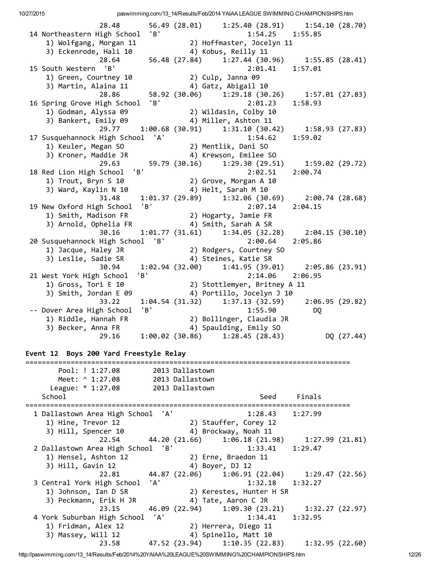28.48 56.49 (28.01) 1:25.40 (28.91) 1:54.10 (28.70) 14 Northeastern High School 'B' 1:54.25 1:55.85 1) Wolfgang, Morgan 11 2) Hoffmaster, Jocelyn 11 3) Eckenrode, Hali 10 (4) Kobus, Reilly 11 28.64 56.48 (27.84) 1:27.44 (30.96) 1:55.85 (28.41) 15 South Western 'B' 2:01.41 1:57.01 outh western<br>1) Green, Courtney 10 2) Culp, Janna 09 3) Martin, Alaina 11 4) Gatz, Abigail 10 28.86 58.92 (30.06) 1:29.18 (30.26) 1:57.01 (27.83) 16 Spring Grove High School 'B' 2:01.23 1:58.93 1) Godman, Alyssa 09 2) Wildasin, Colby 10 3) Bankert, Emily 09 4) Miller, Ashton 11 29.77 1:00.68 (30.91) 1:31.10 (30.42) 1:58.93 (27.83) 17 Susquehannock High School 'A' 1:54.62 1:59.02 1) Keuler, Megan SO 2) Mentlik, Dani SO 3) Kroner, Maddie JR (4) Krewson, Emilee SO 29.63 59.79 (30.16) 1:29.30 (29.51) 1:59.02 (29.72) 18 Red Lion High School 'B' 2:02.51 2:00.74 1) Trout, Bryn S 10 2) Grove, Morgan A 10 3) Ward, Kaylin N 10 4) Helt, Sarah M 10 31.48 1:01.37 (29.89) 1:32.06 (30.69) 2:00.74 (28.68) 19 New Oxford High School 'B' 2:07.14 2:04.15 1) Smith, Madison FR 2) Hogarty, Jamie FR 3) Arnold, Ophelia FR 4) Smith, Sarah A SR 30.16 1:01.77 (31.61) 1:34.05 (32.28) 2:04.15 (30.10) 20 Susquehannock High School 'B' 2:00.64 2:05.86 1) Jacque, Haley JR 2) Rodgers, Courtney SO 3) Leslie, Sadie SR 4) Steines, Katie SR 30.94 1:02.94 (32.00) 1:41.95 (39.01) 2:05.86 (23.91) 21 West York High School 'B' 2:14.06 2:06.95 1) Gross, Tori E 10 2) Stottlemyer, Britney A 11 3) Smith, Jordan E 09 (4) Portillo, Jocelyn J 10 33.22 1:04.54 (31.32) 1:37.13 (32.59) 2:06.95 (29.82) ‐‐ Dover Area High School 'B' 1:55.90 DQ 1) Riddle, Hannah FR 2) Bollinger, Claudia JR<br>2) Socialism Emily SO 3) Becker, Anna FR 4) Spaulding, Emily SO 29.16 1:00.02 (30.86) 1:28.45 (28.43) DQ (27.44) Event 12 Boys 200 Yard Freestyle Relay =============================================================================== Pool: ! 1:27.08 2013 Dallastown Meet: ^ 1:27.08 2013 Dallastown League: \* 1:27.08 2013 Dallastown School Seed Finals =============================================================================== 1 Dallastown Area High School 'A' 1:28.43 1:27.99 1) Hine, Trevor 12 2) Stauffer, Corey 12 3) Hill, Spencer 10 (4) Brockway, Noah 11 22.54 44.20 (21.66) 1:06.18 (21.98) 1:27.99 (21.81) 2 Dallastown Area High School 'B' 1:33.41 1:29.47 1) Hensel, Ashton 12 1) Hensel, Ashton 12 (2) Erne, Braedon 11<br>3) Hill, Gavin 12 (4) Boyer, DJ 12  $22.81$  44.87 (22.06) 1:06.91 (22.04) 1:29.47 (22.56) 3 Central York High School 'A' 1:32.18 1:32.27 1) Johnson, Ian D SR 2) Kerestes, Hunter H SR 3) Peckmann, Erik H JR 4) Tate, Aaron C JR 23.15 46.09 (22.94) 1:09.30 (23.21) 1:32.27 (22.97) 4 York Suburban High School 'A' 1:34.41 1:32.95 1) Fridman, Alex 12 2) Herrera, Diego 11 3) Massey, Will 12 4) Spinello, Matt 10 23.58 47.52 (23.94) 1:10.35 (22.83) 1:32.95 (22.60)

http://paswimming.com/13\_14/Results/Feb/2014%20YAIAA%20LEAGUE%20SWIMMING%20CHAMPIONSHIPS.htm 12/26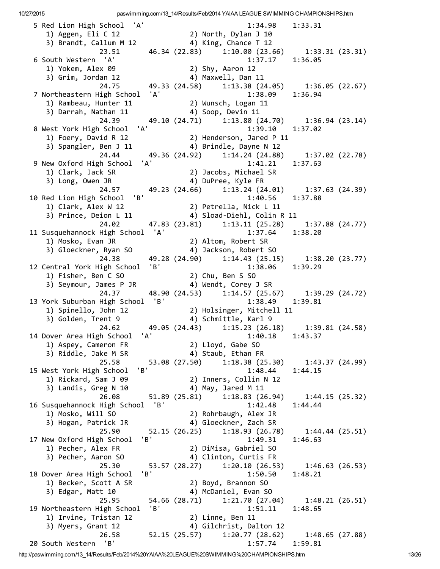5 Red Lion High School 'A' 1:34.98 1:33.31 1) Aggen, Eli C 12 2) North, Dylan J 10 3) Brandt, Callum M 12 4) King, Chance T 12 23.51 46.34 (22.83)  $\begin{array}{cccc} 1:10.00 & (23.66) & 1:33.31 & (23.31) \\ 1:37.17 & 1:36.05 \end{array}$ 6 South Western 'A' 1) Yokem, Alex 09 2) Shy, Aaron 12 3) Grim, Jordan 12 4) Maxwell, Dan 11 24.75 22.2..., 22.2... --<br>24.75 49.33 (24.58) 1:13.38 (24.05) 1:36.05 (22.67)<br>7 Northeastern High School 'A' 1:38.09 1:36.94 7 Northeastern High School 'A' 1:38.09 1:36.94 1) Rambeau, Hunter 11 2) Wunsch, Logan 11 3) Darrah, Nathan 11 4) Soop, Devin 11 24.39 1, Nambetar, Nathan 11 11 124.39 49.10 (24.71) 1:13.80 (24.70) 1:36.94 (23.14) 8 West York High School 'A' 1:39.10 1:37.02 1) Foery, David R 12 2) Henderson, Jared P 11 3) Spangler, Ben J 11 4) Brindle, Dayne N 12 24.44 49.36 (24.92) 1:14.24 (24.88) 1:37.02 (22.78) 9 New Oxford High School 'A' 1:41.21 1:37.63 1) Clark, Jack SR 2) Jacobs, Michael SR 3) Long, Owen JR 4) DuPree, Kyle FR 24.57 49.23 (24.66) 1:13.24 (24.01) 1:37.63 (24.39) 10 Red Lion High School 'B' 1:40.56 1:37.88 1) Clark, Alex W 12 2) Petrella, Nick L 11<br>3) Prince, Deion L 11 4) Sload-Diehl, Colin R 11 3) Prince, Deion L 11 4) Sload-Diehl, Colin R 11 24.02 47.83 (23.81) 1:13.11 (25.28) 1:37.88 (24.77) 11 Susquehannock High School 'A' 1:37.64 1:38.20 1) Mosko, Evan JR 2) Altom, Robert SR 3) Gloeckner, Ryan SO 4) Jackson, Robert SO 24.38 49.28 (24.90) 1:14.43 (25.15) 1:38.20 (23.77) 12 Central York High School 'B' 1:38.06 1:39.29 1) Fisher, Ben C SO 2) Chu, Ben S SO 3) Seymour, James P JR 4) Wendt, Corey J SR 24.37 48.90 (24.53) 1:14.57 (25.67) 1:39.29 (24.72) 13 York Suburban High School 'B' 1:38.49 1:39.81 1) Spinello, John 12 2) Holsinger, Mitchell 11<br>
3) Golden, Trent 9 3 4) Schmittle, Karl 9 3) Golden, Trent 9 (4) Schmittle, Karl 9 24.62 49.05 (24.43) 1:15.23 (26.18) 1:39.81 (24.58) 14 Dover Area High School 'A' 1:40.18 1:43.37 1) Aspey, Cameron FR 2) Lloyd, Gabe SO 3) Riddle, Jake M SR 4) Staub, Ethan FR 25.58 53.08 (27.50) 1:18.38 (25.30) 1:43.37 (24.99) 15 West York High School 'B' 1:48.44 1:44.15 1) Rickard, Sam J 09 2) Inners, Collin N 12 3) Landis, Greg N 10  $\hspace{1cm}$  4) May, Jared M 11 26.08 51.89 (25.81) 1:18.83 (26.94) 1:44.15 (25.32) 16 Susquehannock High School 'B' 1:42.48 1:44.44 1) Mosko, Will SO 2) Rohrbaugh, Alex JR 3) Hogan, Patrick JR 4) Gloeckner, Zach SR 25.90 52.15 (26.25) 1:18.93 (26.78) 1:44.44 (25.51) 17 New Oxford High School 'B' 1:49.31 1:46.63 1) Pecher, Alex FR 2) DiMisa, Gabriel SO 3) Pecher, Aaron SO 4) Clinton, Curtis FR 25.30 53.57 (28.27) 1:20.10 (26.53) 1:46.63 (26.53) 18 Dover Area High School 'B' 1:50.50 1:48.21 1) Becker, Scott A SR 2) Boyd, Brannon SO 3) Edgar, Matt 10 4) McDaniel, Evan SO 25.95 54.66 (28.71) 1:21.70 (27.04) 1:48.21 (26.51) 19 Northeastern High School 'B' 1:51.11 1:48.65 1) Irvine, Tristan 12 2) Linne, Ben 11 3) Myers, Grant 12 (4) Gilchrist, Dalton 12 26.58 52.15 (25.57) 1:20.77 (28.62) 1:48.65 (27.88) 20 South Western 'B' 1:57.74 1:59.81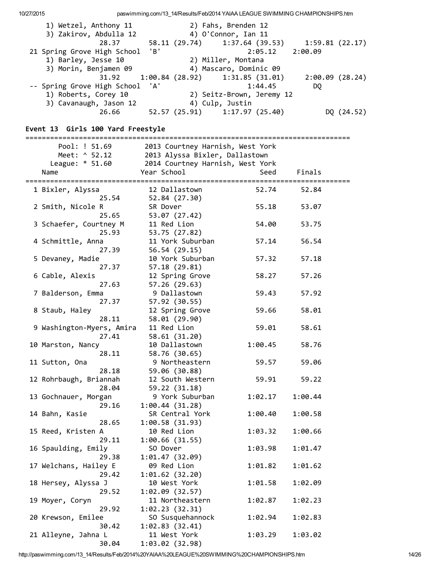| 1) Wetzel, Anthony 11<br>3) Zakirov, Abdulla 12<br>28.37<br>21 Spring Grove High School<br>1) Barley, Jesse 10<br>3) Morin, Benjamen 09<br>31.92<br>-- Spring Grove High School<br>1) Roberts, Corey 10<br>3) Cavanaugh, Jason 12<br>26.66 | 2) Fahs, Brenden 12<br>4) O'Connor, Ian 11<br>58.11 (29.74) 1:37.64 (39.53) 1:59.81 (22.17)<br>'B'<br>2) Miller, Montana<br>$1:00.84$ (28.92) $1:31.85$ (31.01)<br>'A'<br>4) Culp, Justin<br>52.57 (25.91) 1:17.97 (25.40) | 2:05.12<br>4) Mascaro, Dominic 09<br>1:44.45<br>2) Seitz-Brown, Jeremy 12 | 2:00.09<br>DQ | 2:00.09(28.24)<br>DQ (24.52) |
|--------------------------------------------------------------------------------------------------------------------------------------------------------------------------------------------------------------------------------------------|----------------------------------------------------------------------------------------------------------------------------------------------------------------------------------------------------------------------------|---------------------------------------------------------------------------|---------------|------------------------------|
| Event 13 Girls 100 Yard Freestyle                                                                                                                                                                                                          |                                                                                                                                                                                                                            |                                                                           |               |                              |
| Pool: ! 51.69<br>Meet: ^ 52.12                                                                                                                                                                                                             | 2013 Courtney Harnish, West York<br>2013 Alyssa Bixler, Dallastown                                                                                                                                                         |                                                                           |               |                              |
| League: * 51.60                                                                                                                                                                                                                            | 2014 Courtney Harnish, West York                                                                                                                                                                                           |                                                                           |               |                              |
| Name                                                                                                                                                                                                                                       | Year School                                                                                                                                                                                                                | Seed                                                                      | Finals        |                              |
| 1 Bixler, Alyssa<br>25.54                                                                                                                                                                                                                  | 12 Dallastown                                                                                                                                                                                                              | 52.74                                                                     | 52.84         |                              |
| 2 Smith, Nicole R<br>25.65                                                                                                                                                                                                                 | 52.84 (27.30)<br>SR Dover<br>53.07 (27.42)                                                                                                                                                                                 | 55.18                                                                     | 53.07         |                              |
| 3 Schaefer, Courtney M<br>25.93                                                                                                                                                                                                            | 11 Red Lion<br>53.75 (27.82)                                                                                                                                                                                               | 54.00                                                                     | 53.75         |                              |
| 4 Schmittle, Anna<br>27.39                                                                                                                                                                                                                 | 11 York Suburban<br>56.54(29.15)                                                                                                                                                                                           | 57.14                                                                     | 56.54         |                              |
| 5 Devaney, Madie<br>27.37                                                                                                                                                                                                                  | 10 York Suburban<br>57.18(29.81)                                                                                                                                                                                           | 57.32                                                                     | 57.18         |                              |
| 6 Cable, Alexis<br>27.63                                                                                                                                                                                                                   | 12 Spring Grove<br>57.26 (29.63)                                                                                                                                                                                           | 58.27                                                                     | 57.26         |                              |
| 7 Balderson, Emma<br>27.37                                                                                                                                                                                                                 | 9 Dallastown<br>57.92 (30.55)                                                                                                                                                                                              | 59.43                                                                     | 57.92         |                              |
| 8 Staub, Haley<br>28.11                                                                                                                                                                                                                    | 12 Spring Grove<br>58.01 (29.90)                                                                                                                                                                                           | 59.66                                                                     | 58.01         |                              |
| 9 Washington-Myers, Amira<br>27.41                                                                                                                                                                                                         | 11 Red Lion<br>58.61(31.20)                                                                                                                                                                                                | 59.01                                                                     | 58.61         |                              |
| 10 Marston, Nancy<br>28.11                                                                                                                                                                                                                 | 10 Dallastown<br>58.76 (30.65)                                                                                                                                                                                             | 1:00.45                                                                   | 58.76         |                              |
| 11 Sutton, Ona<br>28.18                                                                                                                                                                                                                    | 9 Northeastern<br>59.06 (30.88)                                                                                                                                                                                            | 59.57                                                                     | 59.06         |                              |
| 12 Rohrbaugh, Briannah<br>28.04                                                                                                                                                                                                            | 12 South Western<br>59.22 (31.18)                                                                                                                                                                                          | 59.91                                                                     | 59.22         |                              |
| 13 Gochnauer, Morgan<br>29.16                                                                                                                                                                                                              | 9 York Suburban<br>1:00.44(31.28)                                                                                                                                                                                          | 1:02.17                                                                   | 1:00.44       |                              |
| 14 Bahn, Kasie<br>28.65                                                                                                                                                                                                                    | SR Central York<br>1:00.58(31.93)                                                                                                                                                                                          | 1:00.40                                                                   | 1:00.58       |                              |
| 15 Reed, Kristen A<br>29.11                                                                                                                                                                                                                | 10 Red Lion<br>1:00.66(31.55)                                                                                                                                                                                              | 1:03.32                                                                   | 1:00.66       |                              |
| 16 Spaulding, Emily<br>29.38                                                                                                                                                                                                               | SO Dover<br>1:01.47(32.09)                                                                                                                                                                                                 | 1:03.98                                                                   | 1:01.47       |                              |
| 17 Welchans, Hailey E<br>29.42                                                                                                                                                                                                             | 09 Red Lion<br>1:01.62(32.20)                                                                                                                                                                                              | 1:01.82                                                                   | 1:01.62       |                              |
| 18 Hersey, Alyssa J<br>29.52                                                                                                                                                                                                               | 10 West York<br>1:02.09(32.57)                                                                                                                                                                                             | 1:01.58                                                                   | 1:02.09       |                              |
| 19 Moyer, Coryn<br>29.92                                                                                                                                                                                                                   | 11 Northeastern<br>1:02.23(32.31)                                                                                                                                                                                          | 1:02.87                                                                   | 1:02.23       |                              |
| 20 Krewson, Emilee<br>30.42                                                                                                                                                                                                                | SO Susquehannock<br>1:02.83(32.41)                                                                                                                                                                                         | 1:02.94                                                                   | 1:02.83       |                              |
| 21 Alleyne, Jahna L<br>30.04                                                                                                                                                                                                               | 11 West York<br>1:03.02 (32.98)                                                                                                                                                                                            | 1:03.29                                                                   | 1:03.02       |                              |

http://paswimming.com/13\_14/Results/Feb/2014%20YAIAA%20LEAGUE%20SWIMMING%20CHAMPIONSHIPS.htm 14/26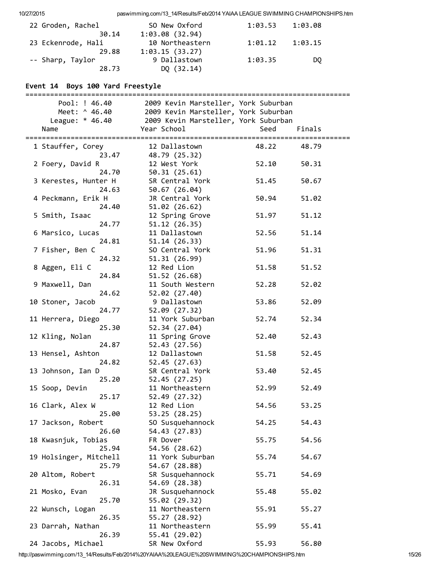|  |  | 10/27/2015 |  |
|--|--|------------|--|

| 22 Groden, Rachel  | SO New Oxford   | 1:03.53 | 1:03.08 |
|--------------------|-----------------|---------|---------|
| 30.14              | 1:03.08(32.94)  |         |         |
| 23 Eckenrode, Hali | 10 Northeastern | 1:01.12 | 1:03.15 |
| 29.88              | 1:03.15(33.27)  |         |         |
| -- Sharp, Taylor   | 9 Dallastown    | 1:03.35 | DQ.     |
| 28.73              | DQ (32.14)      |         |         |

## Event 14 Boys 100 Yard Freestyle

| Pool: ! 46.40           | 2009 Kevin Marsteller, York Suburban |             |        |
|-------------------------|--------------------------------------|-------------|--------|
| Meet: ^ 46.40           | 2009 Kevin Marsteller, York Suburban |             |        |
| League: * 46.40         | 2009 Kevin Marsteller, York Suburban |             |        |
| Name                    | Year School                          | Seed        | Finals |
|                         |                                      |             |        |
| 1 Stauffer, Corey       | 12 Dallastown                        | 48.22 48.79 |        |
| 23.47                   | 48.79 (25.32)                        |             |        |
| 2 Foery, David R        | 12 West York                         | 52.10       | 50.31  |
| 24.70                   | 50.31(25.61)                         |             |        |
| 3 Kerestes, Hunter H    | SR Central York                      | 51.45       | 50.67  |
| 24.63                   | 50.67 (26.04)                        |             |        |
| 4 Peckmann, Erik H      | JR Central York                      | 50.94       | 51.02  |
| 24.40                   | 51.02(26.62)                         |             |        |
| 5 Smith, Isaac          | 12 Spring Grove                      | 51.97       | 51.12  |
| 24.77                   | 51.12(26.35)                         |             |        |
| 6 Marsico, Lucas        | 11 Dallastown                        | 52.56       | 51.14  |
| 24.81                   | 51.14(26.33)                         |             |        |
| 7 Fisher, Ben C         | SO Central York                      | 51.96       | 51.31  |
| 24.32                   | 51.31(26.99)                         |             |        |
|                         | 12 Red Lion                          | 51.58       | 51.52  |
| 8 Aggen, Eli C<br>24.84 |                                      |             |        |
|                         | 51.52(26.68)                         |             |        |
| 9 Maxwell, Dan          | 11 South Western                     | 52.28       | 52.02  |
| 24.62                   | 52.02 (27.40)                        |             |        |
| 10 Stoner, Jacob        | 9 Dallastown                         | 53.86       | 52.09  |
| 24.77                   | 52.09(27.32)                         |             |        |
| 11 Herrera, Diego       | 11 York Suburban                     | 52.74       | 52.34  |
| 25.30                   | 52.34 (27.04)                        |             |        |
| 12 Kling, Nolan         | 11 Spring Grove                      | 52.40       | 52.43  |
| 24.87                   | 52.43(27.56)                         |             |        |
| 13 Hensel, Ashton       | 12 Dallastown                        | 51.58       | 52.45  |
| 24.82                   | 52.45 (27.63)                        |             |        |
| 13 Johnson, Ian D       | SR Central York                      | 53.40       | 52.45  |
| 25.20                   | 52.45(27.25)                         |             |        |
| 15 Soop, Devin          | 11 Northeastern                      | 52.99       | 52.49  |
| 25.17                   | 52.49 (27.32)                        |             |        |
| 16 Clark, Alex W        | 12 Red Lion                          | 54.56       | 53.25  |
| 25.00                   | 53.25(28.25)                         |             |        |
| 17 Jackson, Robert      | SO Susquehannock                     | 54.25       | 54.43  |
| 26.60                   | 54.43 (27.83)                        |             |        |
| 18 Kwasnjuk, Tobias     | FR Dover                             | 55.75       | 54.56  |
| 25.94                   | 54.56 (28.62)                        |             |        |
| 19 Holsinger, Mitchell  | 11 York Suburban                     | 55.74       | 54.67  |
| 25.79                   | 54.67 (28.88)                        |             |        |
| 20 Altom, Robert        | SR Susquehannock                     | 55.71       | 54.69  |
| 26.31                   | 54.69 (28.38)                        |             |        |
| 21 Mosko, Evan          | JR Susquehannock                     | 55.48       | 55.02  |
| 25.70                   | 55.02 (29.32)                        |             |        |
| 22 Wunsch, Logan        | 11 Northeastern                      | 55.91       | 55.27  |
| 26.35                   | 55.27 (28.92)                        |             |        |
| 23 Darrah, Nathan       | 11 Northeastern                      | 55.99       | 55.41  |
| 26.39                   | 55.41 (29.02)                        |             |        |
| 24 Jacobs, Michael      | SR New Oxford                        | 55.93       | 56.80  |

http://paswimming.com/13\_14/Results/Feb/2014%20YAIAA%20LEAGUE%20SWIMMING%20CHAMPIONSHIPS.htm 15/26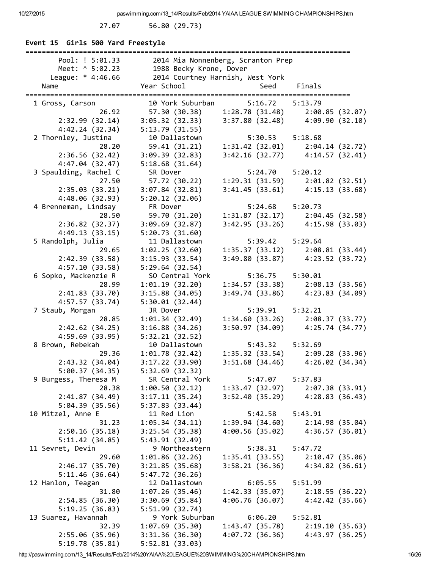27.07 56.80 (29.73)

| Pool: $! 5:01.33$<br>Meet: ^ 5:02.23 | 1988 Becky Krone, Dover          | 2014 Mia Nonnenberg, Scranton Prep |                       |  |
|--------------------------------------|----------------------------------|------------------------------------|-----------------------|--|
| League: * 4:46.66                    | 2014 Courtney Harnish, West York |                                    |                       |  |
| Name                                 | Year School                      | Seed                               | Finals<br>=========== |  |
| 1 Gross, Carson                      | 10 York Suburban                 | 5:16.72                            | 5:13.79               |  |
| 26.92                                | 57.30 (30.38)                    | $1:28.78(31.48)$ $2:00.85(32.07)$  |                       |  |
| 2:32.99(32.14)                       | 3:05.32(32.33)                   | 3:37.80 (32.48) 4:09.90 (32.10)    |                       |  |
| 4:42.24(32.34)                       | 5:13.79(31.55)                   |                                    |                       |  |
| 2 Thornley, Justina                  | 10 Dallastown                    | 5:30.53 5:18.68                    |                       |  |
| 28.20                                | 59.41 (31.21)                    | 1:31.42 (32.01) 2:04.14 (32.72)    |                       |  |
| 2:36.56(32.42)                       | 3:09.39(32.83)                   | $3:42.16(32.77)$ $4:14.57(32.41)$  |                       |  |
| 4:47.04 (32.47)                      | 5:18.68(31.64)                   |                                    |                       |  |
| 3 Spaulding, Rachel C                | SR Dover                         | $5:24.70$ $5:20.12$                |                       |  |
| 27.50                                | 57.72 (30.22)                    | 1:29.31 (31.59) 2:01.82 (32.51)    |                       |  |
| 2:35.03(33.21)                       | 3:07.84(32.81)                   | $3:41.45(33.61)$ $4:15.13(33.68)$  |                       |  |
| 4:48.06 (32.93)                      | 5:20.12(32.06)                   |                                    |                       |  |
| 4 Brenneman, Lindsay                 | FR Dover                         | 5:24.68 5:20.73                    |                       |  |
| 28.50                                | 59.70 (31.20)                    | 1:31.87 (32.17) 2:04.45 (32.58)    |                       |  |
| 2:36.82(32.37)                       | 3:09.69(32.87)                   | $3:42.95(33.26)$ $4:15.98(33.03)$  |                       |  |
| 4:49.13(33.15)                       | 5:20.73(31.60)                   |                                    |                       |  |
| 5 Randolph, Julia                    | 11 Dallastown                    | 5:39.42 5:29.64                    |                       |  |
| 29.65                                | 1:02.25(32.60)                   | 1:35.37 (33.12) 2:08.81 (33.44)    |                       |  |
| 2:42.39 (33.58)                      | 3:15.93(33.54)                   | 3:49.80 (33.87) 4:23.52 (33.72)    |                       |  |
| 4:57.10(33.58)                       | 5:29.64(32.54)                   |                                    |                       |  |
| 6 Sopko, Mackenzie R                 | SO Central York                  |                                    |                       |  |
| 28.99                                | 1:01.19(32.20)                   | $1:34.57(33.38)$ $2:08.13(33.56)$  |                       |  |
| 2:41.83(33.70)                       | 3:15.88(34.05)                   | 3:49.74 (33.86) 4:23.83 (34.09)    |                       |  |
| 4:57.57(33.74)                       | 5:30.01(32.44)                   |                                    |                       |  |
| 7 Staub, Morgan                      | JR Dover                         | 5:39.91    5:32.21                 |                       |  |
| 28.85                                | 1:01.34(32.49)                   | $1:34.60(33.26)$ $2:08.37(33.77)$  |                       |  |
| 2:42.62(34.25)                       | 3:16.88(34.26)                   | $3:50.97(34.09)$ $4:25.74(34.77)$  |                       |  |
| 4:59.69(33.95)                       | 5:32.21(32.52)                   |                                    |                       |  |
| 8 Brown, Rebekah                     | 10 Dallastown                    | $5:43.32$ $5:32.69$                |                       |  |
| 29.36                                | 1:01.78(32.42)                   | $1:35.32(33.54)$ $2:09.28(33.96)$  |                       |  |
| 2:43.32(34.04)                       | 3:17.22(33.90)                   | 3:51.68 (34.46)                    | 4:26.02(34.34)        |  |
| 5:00.37(34.35)                       | 5:32.69(32.32)                   |                                    |                       |  |
| 9 Burgess, Theresa M                 | SR Central York                  | 5:47.07                            | 5:37.83               |  |
| 28.38                                | 1:00.50(32.12)                   | 1:33.47(32.97)                     | 2:07.38 (33.91)       |  |
| 2:41.87(34.49)                       | 3:17.11(35.24)                   | $3:52.40(35.29)$ $4:28.83(36.43)$  |                       |  |
|                                      | 5:37.83(33.44)                   |                                    |                       |  |
| 5:04.39(35.56)                       | 11 Red Lion                      |                                    | 5:43.91               |  |
| 10 Mitzel, Anne E                    |                                  | 5:42.58                            |                       |  |
| 31.23                                | 1:05.34(34.11)                   | 1:39.94 (34.60) 2:14.98 (35.04)    |                       |  |
| 2:50.16(35.18)                       | 3:25.54(35.38)                   | 4:00.56 (35.02) 4:36.57 (36.01)    |                       |  |
| 5:11.42(34.85)                       | 5:43.91(32.49)                   |                                    |                       |  |
| 11 Sevret, Devin                     | 9 Northeastern                   | 5:38.31                            | 5:47.72               |  |
| 29.60                                | 1:01.86(32.26)                   | 1:35.41(33.55)                     | 2:10.47(35.06)        |  |
| 2:46.17(35.70)                       | 3:21.85(35.68)                   | $3:58.21(36.36)$ $4:34.82(36.61)$  |                       |  |
| 5:11.46(36.64)                       | 5:47.72(36.26)                   |                                    |                       |  |
| 12 Hanlon, Teagan                    | 12 Dallastown                    | 6:05.55 5:51.99                    |                       |  |
| 31.80                                | 1:07.26(35.46)                   | $1:42.33$ (35.07) 2:18.55 (36.22)  |                       |  |
| 2:54.85(36.30)                       | 3:30.69(35.84)                   | 4:06.76 (36.07) 4:42.42 (35.66)    |                       |  |
| 5:19.25(36.83)                       | 5:51.99(32.74)                   |                                    |                       |  |
| 13 Suarez, Havannah                  | 9 York Suburban                  | 6:06.20 5:52.81                    |                       |  |
| 32.39                                | 1:07.69(35.30)                   | 1:43.47 (35.78) 2:19.10 (35.63)    |                       |  |
| 2:55.06(35.96)                       | 3:31.36 (36.30)                  | 4:07.72 (36.36) 4:43.97 (36.25)    |                       |  |
| 5:19.78(35.81)                       | 5:52.81(33.03)                   |                                    |                       |  |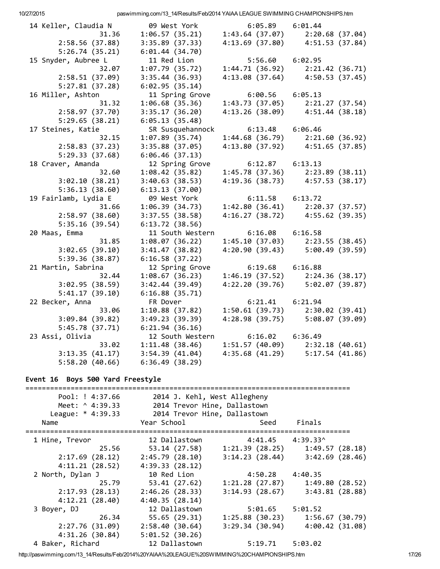| 14 Keller, Claudia N | 09 West York                     |                                    |                                                                                                                       |
|----------------------|----------------------------------|------------------------------------|-----------------------------------------------------------------------------------------------------------------------|
| 31.36                | 1:06.57(35.21)                   |                                    | 6:05.89 6:01.44<br>1:43.64 (37.07) 2:20.68 (37.04)                                                                    |
| 2:58.56(37.88)       | 3:35.89(37.33)                   |                                    | 4:13.69 (37.80) 4:51.53 (37.84)                                                                                       |
| 5:26.74(35.21)       | 6:01.44(34.70)                   |                                    |                                                                                                                       |
| 15 Snyder, Aubree L  | 11 Red Lion                      | 5:56.60 6:02.95<br>1:44.71 (36.03) |                                                                                                                       |
| 32.07                | 1:07.79(35.72)                   |                                    | $1:44.71(36.92)$ $2:21.42(36.71)$                                                                                     |
| 2:58.51(37.09)       | 3:35.44(36.93)                   |                                    | 4:13.08 (37.64) 4:50.53 (37.45)                                                                                       |
| 5:27.81(37.28)       | 6:02.95(35.14)                   |                                    |                                                                                                                       |
| 16 Miller, Ashton    | 11 Spring Grove                  | 6:00.56                            | 6:05.13                                                                                                               |
| 31.32                | 1:06.68(35.36)                   | 1:43.73(37.05)                     | 2:21.27 (37.54)                                                                                                       |
| 2:58.97(37.70)       | 3:35.17(36.20)                   | 4:13.26(38.09)                     | 4:51.44 (38.18)                                                                                                       |
| 5:29.65(38.21)       | 6:05.13(35.48)                   |                                    |                                                                                                                       |
| 17 Steines, Katie    | SR Susquehannock 6:13.48 6:06.46 |                                    |                                                                                                                       |
| 32.15                | 1:07.89(35.74)                   |                                    | $1:44.68(36.79)$ $2:21.60(36.92)$                                                                                     |
| 2:58.83(37.23)       | 3:35.88(37.05)                   |                                    | 4:13.80 (37.92) 4:51.65 (37.85)                                                                                       |
| 5:29.33(37.68)       | 6:06.46(37.13)                   |                                    |                                                                                                                       |
| 18 Craver, Amanda    |                                  |                                    |                                                                                                                       |
| 32.60                |                                  |                                    |                                                                                                                       |
| 3:02.10(38.21)       |                                  |                                    |                                                                                                                       |
| 5:36.13(38.60)       | 6:13.13(37.00)                   |                                    | 12 Spring Grove<br>1:08.42 (35.82) 1:45.78 (37.36) 2:23.89 (38.11)<br>3:40.63 (38.53) 4:19.36 (38.73) 4:57.53 (38.17) |
| 19 Fairlamb, Lydia E | 09 West York                     |                                    |                                                                                                                       |
| 31.66                | 1:06.39(34.73)                   |                                    | $6:11.58$ $6:13.72$<br>$1:42.80$ (36.41) 2:20.37 (37.57)                                                              |
| 2:58.97(38.60)       | 3:37.55(38.58)                   |                                    | 4:16.27 (38.72) 4:55.62 (39.35)                                                                                       |
| 5:35.16(39.54)       | 6:13.72(38.56)                   |                                    |                                                                                                                       |
| 20 Maas, Emma        | 11 South Western                 | $6:16.08$ $6:16.58$                |                                                                                                                       |
| 31.85                | 1:08.07(36.22)                   |                                    | $1:45.10(37.03)$ $2:23.55(38.45)$                                                                                     |
| 3:02.65(39.10)       | 3:41.47(38.82)                   |                                    | $4:20.90(39.43)$ $5:00.49(39.59)$                                                                                     |
| 5:39.36(38.87)       | 6:16.58(37.22)                   |                                    |                                                                                                                       |
| 21 Martin, Sabrina   | 12 Spring Grove                  | $6:19.68$ $6:16.88$                |                                                                                                                       |
| 32.44                | 1:08.67(36.23)                   |                                    | $1:46.19(37.52)$ $2:24.36(38.17)$                                                                                     |
| 3:02.95(38.59)       | 3:42.44(39.49)                   |                                    | 4:22.20 (39.76) 5:02.07 (39.87)                                                                                       |
| 5:41.17(39.10)       | 6:16.88(35.71)                   |                                    |                                                                                                                       |
| 22 Becker, Anna      | FR Dover                         | $6:21.41$ $6:21.94$                |                                                                                                                       |
| 33.06                | 1:10.88(37.82)                   |                                    | $1:50.61(39.73)$ $2:30.02(39.41)$                                                                                     |
| 3:09.84(39.82)       | 3:49.23(39.39)                   |                                    | 4:28.98 (39.75) 5:08.07 (39.09)                                                                                       |
| 5:45.78(37.71)       | 6:21.94(36.16)                   |                                    |                                                                                                                       |
| 23 Assi, Olivia      |                                  | 12 South Western 6:16.02 6:36.49   |                                                                                                                       |
| 33.02                | 1:11.48(38.46)                   |                                    | 1:51.57 (40.09) 2:32.18 (40.61)                                                                                       |
| 3:13.35(41.17)       | 3:54.39(41.04)                   |                                    | 4:35.68 (41.29) 5:17.54 (41.86)                                                                                       |
| 5:58.20(40.66)       | 6:36.49(38.29)                   |                                    |                                                                                                                       |
|                      |                                  |                                    |                                                                                                                       |

## Event 16 Boys 500 Yard Freestyle

| Pool: ! 4:37.66     | 2014 J. Kehl, West Allegheny |                     |                                     |
|---------------------|------------------------------|---------------------|-------------------------------------|
| Meet: ^ 4:39.33     | 2014 Trevor Hine, Dallastown |                     |                                     |
| League: $* 4:39.33$ | 2014 Trevor Hine, Dallastown |                     |                                     |
| Name                | Year School                  | Seed                | Finals                              |
| 1 Hine, Trevor      | 12 Dallastown                | 4:41.45             | 4:39.33^                            |
| 25.56               | 53.14 (27.58)                |                     | $1:21.39(28.25)$ $1:49.57(28.18)$   |
| 2:17.69(28.12)      | 2:45.79(28.10)               | 3:14.23(28.44)      | 3:42.69(28.46)                      |
| 4:11.21(28.52)      | 4:39.33(28.12)               |                     |                                     |
| 2 North, Dylan J    | 10 Red Lion                  | 4:50.28             | 4:40.35                             |
| 25.79               | 53.41 (27.62)                |                     | $1:21.28$ (27.87) $1:49.80$ (28.52) |
| 2:17.93(28.13)      | 2:46.26(28.33)               | 3:14.93(28.67)      | 3:43.81(28.88)                      |
| 4:12.21(28.40)      | 4:40.35(28.14)               |                     |                                     |
| 3 Boyer, DJ         | 12 Dallastown                | $5:01.65$ $5:01.52$ |                                     |
| 26.34               | 55.65(29.31)                 |                     | $1:25.88$ (30.23) $1:56.67$ (30.79) |
| 2:27.76(31.09)      | 2:58.40(30.64)               |                     | $3:29.34(30.94)$ $4:00.42(31.08)$   |
| 4:31.26(30.84)      | 5:01.52(30.26)               |                     |                                     |
| 4 Baker, Richard    | 12 Dallastown                | 5:19.71 5:03.02     |                                     |

http://paswimming.com/13\_14/Results/Feb/2014%20YAIAA%20LEAGUE%20SWIMMING%20CHAMPIONSHIPS.htm 17/26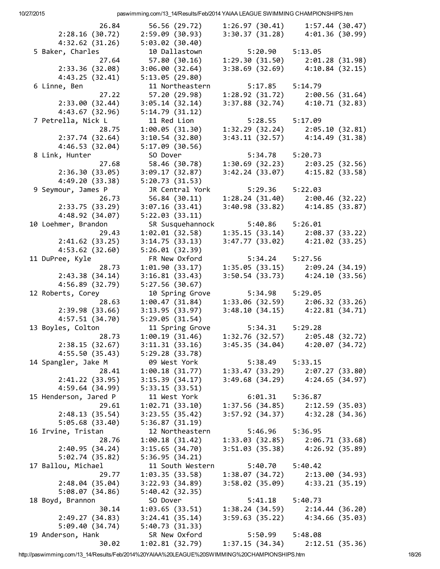4:32.62 (31.26) 5:03.02 (30.40) 4:43.25 (32.41) 5:13.05 (29.80) 4:43.67 (32.96) 5:14.79 (31.12) 4:46.53 (32.04) 5:17.09 (30.56) 4:49.20 (33.38) 5:20.73 (31.53) 4:48.92 (34.07) 5:22.03 (33.11) 4:53.62 (32.60) 5:26.01 (32.39) 4:56.89 (32.79) 5:27.56 (30.67) 4:57.51 (34.70) 5:29.05 (31.54) 4:55.50 (35.43) 5:29.28 (33.78) 4:59.64 (34.99) 5:33.15 (33.51) 5:05.68 (33.40) 5:36.87 (31.19) 5:02.74 (35.82) 5:36.95 (34.21) 5:08.07 (34.86) 5:40.42 (32.35) 5:09.40 (34.74) 5:40.73 (31.33)

26.84 56.56 (29.72) 1:26.97 (30.41) 1:57.44 (30.47) 2:28.16 (30.72) 2:59.09 (30.93) 3:30.37 (31.28) 4:01.36 (30.99) 5 Baker, Charles 10 Dallastown 5:20.90 5:13.05 27.64 57.80 (30.16) 1:29.30 (31.50) 2:01.28 (31.98) 2:33.36 (32.08) 3:06.00 (32.64) 3:38.69 (32.69) 4:10.84 (32.15) 6 Linne, Ben 11 Northeastern 5:17.85 5:14.79 27.22 57.20 (29.98) 1:28.92 (31.72) 2:00.56 (31.64) 2:33.00 (32.44) 3:05.14 (32.14) 3:37.88 (32.74) 4:10.71 (32.83) 7 Petrella, Nick L 11 Red Lion 5:28.55 5:17.09 28.75 1:00.05 (31.30) 1:32.29 (32.24) 2:05.10 (32.81) 2:37.74 (32.64) 3:10.54 (32.80) 3:43.11 (32.57) 4:14.49 (31.38) 8 Link, Hunter SO Dover 5:34.78 5:20.73 27.68 58.46 (30.78) 1:30.69 (32.23) 2:03.25 (32.56) 2:36.30 (33.05) 3:09.17 (32.87) 3:42.24 (33.07) 4:15.82 (33.58) 9 Seymour, James P JR Central York 5:29.36 5:22.03 26.73 56.84 (30.11) 1:28.24 (31.40) 2:00.46 (32.22) 2:33.75 (33.29) 3:07.16 (33.41) 3:40.98 (33.82) 4:14.85 (33.87) 10 Loehmer, Brandon SR Susquehannock 5:40.86 5:26.01 29.43 1:02.01 (32.58) 1:35.15 (33.14) 2:08.37 (33.22) 2:41.62 (33.25) 3:14.75 (33.13) 3:47.77 (33.02) 4:21.02 (33.25) 11 DuPree, Kyle FR New Oxford 5:34.24 5:27.56 28.73 1:01.90 (33.17) 1:35.05 (33.15) 2:09.24 (34.19) 2:43.38 (34.14) 3:16.81 (33.43) 3:50.54 (33.73) 4:24.10 (33.56) 12 Roberts, Corey 10 Spring Grove 5:34.98 5:29.05 28.63 1:00.47 (31.84) 1:33.06 (32.59) 2:06.32 (33.26) 2:39.98 (33.66) 3:13.95 (33.97) 3:48.10 (34.15) 4:22.81 (34.71) 13 Boyles, Colton 11 Spring Grove 5:34.31 5:29.28 28.73 1:00.19 (31.46) 1:32.76 (32.57) 2:05.48 (32.72) 2:38.15 (32.67) 3:11.31 (33.16) 3:45.35 (34.04) 4:20.07 (34.72) 14 Spangler, Jake M 09 West York 5:38.49 5:33.15 28.41 1:00.18 (31.77) 1:33.47 (33.29) 2:07.27 (33.80) 2:41.22 (33.95) 3:15.39 (34.17) 3:49.68 (34.29) 4:24.65 (34.97) 15 Henderson, Jared P 11 West York 6:01.31 5:36.87 29.61 1:02.71 (33.10) 1:37.56 (34.85) 2:12.59 (35.03) 2:48.13 (35.54) 3:23.55 (35.42) 3:57.92 (34.37) 4:32.28 (34.36) 16 Irvine, Tristan 12 Northeastern 5:46.96 5:36.95 28.76 1:00.18 (31.42) 1:33.03 (32.85) 2:06.71 (33.68) 2:40.95 (34.24) 3:15.65 (34.70) 3:51.03 (35.38) 4:26.92 (35.89) 17 Ballou, Michael 11 South Western 5:40.70 5:40.42 29.77 1:03.35 (33.58) 1:38.07 (34.72) 2:13.00 (34.93) 2:48.04 (35.04) 3:22.93 (34.89) 3:58.02 (35.09) 4:33.21 (35.19) 18 Boyd, Brannon SO Dover 5:41.18 5:40.73 30.14 1:03.65 (33.51) 1:38.24 (34.59) 2:14.44 (36.20) 2:49.27 (34.83) 3:24.41 (35.14) 3:59.63 (35.22) 4:34.66 (35.03) 19 Anderson, Hank SR New Oxford 5:50.99 5:48.08

http://paswimming.com/13\_14/Results/Feb/2014%20YAIAA%20LEAGUE%20SWIMMING%20CHAMPIONSHIPS.htm 18/26

30.02 1:02.81 (32.79) 1:37.15 (34.34) 2:12.51 (35.36)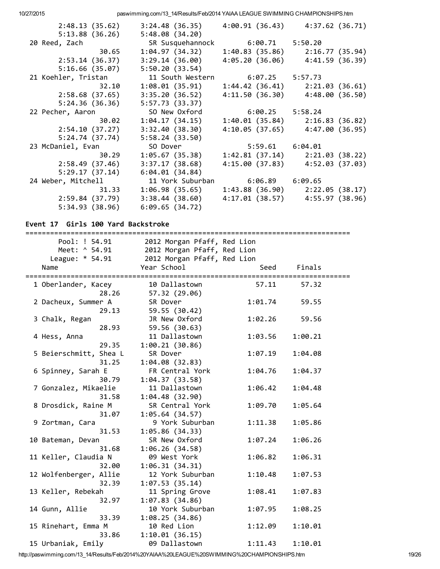| 2:48.13(35.62)      | 3:24.48 (36.35)                                       |                     | 4:00.91 (36.43) 4:37.62 (36.71)                 |
|---------------------|-------------------------------------------------------|---------------------|-------------------------------------------------|
| 5:13.88(36.26)      | 5:48.08(34.20)                                        |                     |                                                 |
| 20 Reed, Zach       | SR Susquehannock                                      | 6:00.71 5:50.20     |                                                 |
| 30.65               | 1:04.97(34.32)                                        |                     | $1:40.83(35.86)$ $2:16.77(35.94)$               |
| 2:53.14 (36.37)     | 3:29.14(36.00)                                        |                     | 4:05.20 (36.06) 4:41.59 (36.39)                 |
| 5:16.66(35.07)      | 5:50.20(33.54)                                        |                     |                                                 |
| 21 Koehler, Tristan | 11 South Western                                      | $6:07.25$ $5:57.73$ |                                                 |
| 32.10               | 1:08.01(35.91)                                        |                     | $1:44.42$ (36.41) $2:21.03$ (36.61)             |
| 2:58.68(37.65)      | 3:35.20(36.52)                                        |                     | $4:11.50(36.30)$ $4:48.00(36.50)$               |
| 5:24.36 (36.36)     | 5:57.73(33.37)                                        |                     |                                                 |
| 22 Pecher, Aaron    | SO New Oxford                                         | $6:00.25$ $5:58.24$ |                                                 |
| 30.02               | 1:04.17(34.15)                                        |                     | 1:40.01(35.84)2:16.83(36.82)                    |
| 2:54.10 (37.27)     | 3:32.40 (38.30)                                       |                     | 4:10.05 (37.65) 4:47.00 (36.95)                 |
| 5:24.74(37.74)      | 5:58.24(33.50)                                        |                     |                                                 |
| 23 McDaniel, Evan   | SO Dover                                              | $5:59.61$ $6:04.01$ |                                                 |
| 30.29               | 1:05.67 (35.38)                                       |                     | $1:42.81(37.14)$ $2:21.03(38.22)$               |
| 2:58.49(37.46)      | 3:37.17(38.68)                                        |                     | 4:15.00 (37.83) 4:52.03 (37.03)                 |
| 5:29.17(37.14)      | 6:04.01(34.84)                                        |                     |                                                 |
| 24 Weber, Mitchell  |                                                       |                     |                                                 |
| 31.33               | $1:06.98$ (35.65) $1:43.88$ (36.90) $2:22.05$ (38.17) |                     |                                                 |
| 2:59.84 (37.79)     |                                                       |                     | 3:38.44 (38.60) 4:17.01 (38.57) 4:55.97 (38.96) |
| 5:34.93 (38.96)     | 6:09.65(34.72)                                        |                     |                                                 |

### Event 17 Girls 100 Yard Backstroke

| Pool: ! 54.91<br>Meet: ^ 54.91<br>League: * 54.91 |       | 2012 Morgan Pfaff, Red Lion<br>2012 Morgan Pfaff, Red Lion<br>2012 Morgan Pfaff, Red Lion |         |         |
|---------------------------------------------------|-------|-------------------------------------------------------------------------------------------|---------|---------|
| Name                                              |       | Year School                                                                               | Seed    | Finals  |
| 1 Oberlander, Kacey                               | 28.26 | 10 Dallastown<br>57.32 (29.06)                                                            | 57.11   | 57.32   |
| 2 Dacheux, Summer A                               | 29.13 | SR Dover<br>59.55 (30.42)                                                                 | 1:01.74 | 59.55   |
| 3 Chalk, Regan                                    | 28.93 | JR New Oxford<br>59.56 (30.63)                                                            | 1:02.26 | 59.56   |
| 4 Hess, Anna                                      | 29.35 | 11 Dallastown<br>1:00.21(30.86)                                                           | 1:03.56 | 1:00.21 |
| 5 Beierschmitt, Shea L                            | 31.25 | SR Dover<br>1:04.08(32.83)                                                                | 1:07.19 | 1:04.08 |
| 6 Spinney, Sarah E                                | 30.79 | FR Central York<br>1:04.37(33.58)                                                         | 1:04.76 | 1:04.37 |
| 7 Gonzalez, Mikaelie                              | 31.58 | 11 Dallastown<br>1:04.48(32.90)                                                           | 1:06.42 | 1:04.48 |
| 8 Drosdick, Raine M                               | 31.07 | SR Central York<br>1:05.64(34.57)                                                         | 1:09.70 | 1:05.64 |
| 9 Zortman, Cara                                   | 31.53 | 9 York Suburban<br>1:05.86(34.33)                                                         | 1:11.38 | 1:05.86 |
| 10 Bateman, Devan                                 | 31.68 | SR New Oxford<br>1:06.26(34.58)                                                           | 1:07.24 | 1:06.26 |
| 11 Keller, Claudia N                              | 32.00 | 09 West York<br>1:06.31(34.31)                                                            | 1:06.82 | 1:06.31 |
| 12 Wolfenberger, Allie                            | 32.39 | 12 York Suburban<br>1:07.53(35.14)                                                        | 1:10.48 | 1:07.53 |
| 13 Keller, Rebekah                                | 32.97 | 11 Spring Grove<br>1:07.83(34.86)                                                         | 1:08.41 | 1:07.83 |
| 14 Gunn, Allie                                    | 33.39 | 10 York Suburban<br>1:08.25(34.86)                                                        | 1:07.95 | 1:08.25 |
| 15 Rinehart, Emma M                               | 33.86 | 10 Red Lion<br>1:10.01(36.15)                                                             | 1:12.09 | 1:10.01 |
| 15 Urbaniak, Emily                                |       | 09 Dallastown                                                                             | 1:11.43 | 1:10.01 |

http://paswimming.com/13\_14/Results/Feb/2014%20YAIAA%20LEAGUE%20SWIMMING%20CHAMPIONSHIPS.htm 19/26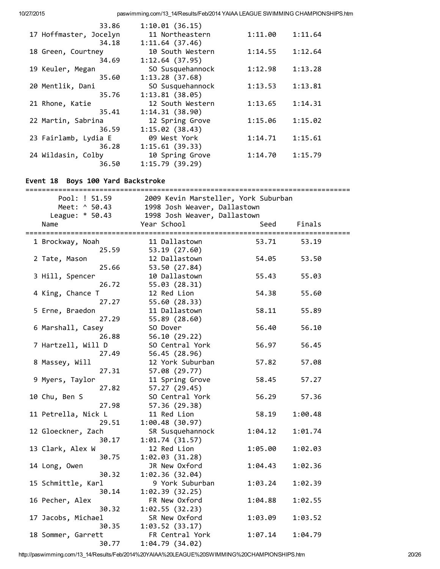| 33.86                  | 1:10.01(36.15)   |         |         |
|------------------------|------------------|---------|---------|
| 17 Hoffmaster, Jocelyn | 11 Northeastern  | 1:11.00 | 1:11.64 |
| 34.18                  | 1:11.64(37.46)   |         |         |
| 18 Green, Courtney     | 10 South Western | 1:14.55 | 1:12.64 |
| 34.69                  | 1:12.64(37.95)   |         |         |
| 19 Keuler, Megan       | SO Susquehannock | 1:12.98 | 1:13.28 |
| 35.60                  | 1:13.28(37.68)   |         |         |
| 20 Mentlik, Dani       | SO Susquehannock | 1:13.53 | 1:13.81 |
| 35.76                  | 1:13.81(38.05)   |         |         |
| 21 Rhone, Katie        | 12 South Western | 1:13.65 | 1:14.31 |
| 35.41                  | 1:14.31(38.90)   |         |         |
| 22 Martin, Sabrina     | 12 Spring Grove  | 1:15.06 | 1:15.02 |
| 36.59                  | 1:15.02(38.43)   |         |         |
| 23 Fairlamb, Lydia E   | 09 West York     | 1:14.71 | 1:15.61 |
| 36.28                  | 1:15.61(39.33)   |         |         |
| 24 Wildasin, Colby     | 10 Spring Grove  | 1:14.70 | 1:15.79 |
| 36.50                  | 1:15.79(39.29)   |         |         |

### Event 18 Boys 100 Yard Backstroke

| Pool: ! 51.59       | 2009 Kevin Marsteller, York Suburban |         |         |  |
|---------------------|--------------------------------------|---------|---------|--|
| Meet: ^ 50.43       | 1998 Josh Weaver, Dallastown         |         |         |  |
| League: * 50.43     | 1998 Josh Weaver, Dallastown         |         |         |  |
| Name                | Year School                          | Seed    | Finals  |  |
|                     |                                      |         |         |  |
| 1 Brockway, Noah    | 11 Dallastown                        | 53.71   | 53.19   |  |
| 25.59               | 53.19 (27.60)                        |         |         |  |
| 2 Tate, Mason       | 12 Dallastown                        | 54.05   | 53.50   |  |
| 25.66               | 53.50 (27.84)                        |         |         |  |
| 3 Hill, Spencer     | 10 Dallastown                        | 55.43   | 55.03   |  |
| 26.72               | 55.03 (28.31)                        |         |         |  |
| 4 King, Chance T    | 12 Red Lion                          | 54.38   | 55.60   |  |
| 27.27               | 55.60 (28.33)                        |         |         |  |
| 5 Erne, Braedon     | 11 Dallastown                        | 58.11   | 55.89   |  |
| 27.29               | 55.89 (28.60)                        |         |         |  |
| 6 Marshall, Casey   | SO Dover                             | 56.40   | 56.10   |  |
| 26.88               | 56.10(29.22)                         |         |         |  |
| 7 Hartzell, Will D  | SO Central York                      | 56.97   | 56.45   |  |
| 27.49               | 56.45 (28.96)                        |         |         |  |
| 8 Massey, Will      | 12 York Suburban                     | 57.82   | 57.08   |  |
| 27.31               | 57.08 (29.77)                        |         |         |  |
| 9 Myers, Taylor     | 11 Spring Grove                      | 58.45   | 57.27   |  |
| 27.82               | 57.27 (29.45)                        |         |         |  |
| 10 Chu, Ben S       | SO Central York                      | 56.29   | 57.36   |  |
| 27.98               | 57.36 (29.38)                        |         |         |  |
| 11 Petrella, Nick L | 11 Red Lion                          | 58.19   | 1:00.48 |  |
| 29.51               | 1:00.48(30.97)                       |         |         |  |
| 12 Gloeckner, Zach  | SR Susquehannock                     | 1:04.12 | 1:01.74 |  |
| 30.17               | 1:01.74(31.57)                       |         |         |  |
| 13 Clark, Alex W    | 12 Red Lion                          | 1:05.00 | 1:02.03 |  |
| 30.75               | 1:02.03(31.28)                       |         |         |  |
| 14 Long, Owen       | JR New Oxford                        | 1:04.43 | 1:02.36 |  |
| 30.32               | 1:02.36(32.04)                       |         |         |  |
| 15 Schmittle, Karl  | 9 York Suburban                      | 1:03.24 | 1:02.39 |  |
| 30.14               | 1:02.39(32.25)                       |         |         |  |
| 16 Pecher, Alex     | FR New Oxford                        | 1:04.88 | 1:02.55 |  |
| 30.32               | 1:02.55(32.23)                       |         |         |  |
| 17 Jacobs, Michael  | SR New Oxford                        | 1:03.09 | 1:03.52 |  |
| 30.35               | 1:03.52(33.17)                       |         |         |  |
| 18 Sommer, Garrett  | FR Central York                      | 1:07.14 | 1:04.79 |  |
| 30.77               | 1:04.79 (34.02)                      |         |         |  |

http://paswimming.com/13\_14/Results/Feb/2014%20YAIAA%20LEAGUE%20SWIMMING%20CHAMPIONSHIPS.htm 20/26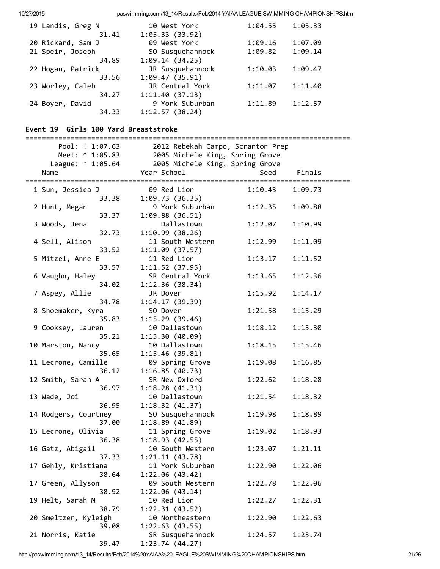| 19 Landis, Greg N | 10 West York     | 1:04.55 | 1:05.33 |
|-------------------|------------------|---------|---------|
| 31.41             | 1:05.33(33.92)   |         |         |
| 20 Rickard, Sam J | 09 West York     | 1:09.16 | 1:07.09 |
| 21 Speir, Joseph  | SO Susquehannock | 1:09.82 | 1:09.14 |
| 34.89             | 1:09.14(34.25)   |         |         |
| 22 Hogan, Patrick | JR Susquehannock | 1:10.03 | 1:09.47 |
| 33.56             | 1:09.47(35.91)   |         |         |
| 23 Worley, Caleb  | JR Central York  | 1:11.07 | 1:11.40 |
| 34.27             | 1:11.40(37.13)   |         |         |
| 24 Boyer, David   | 9 York Suburban  | 1:11.89 | 1:12.57 |
| 34.33             | 1:12.57(38.24)   |         |         |

#### Event 19 Girls 100 Yard Breaststroke

|                      | Pool: ! 1:07.63 2012 Rebekah Campo, Scranton Prep |                     |         |
|----------------------|---------------------------------------------------|---------------------|---------|
| Meet: ^ 1:05.83      | 2005 Michele King, Spring Grove                   |                     |         |
|                      | League: * 1:05.64 2005 Michele King, Spring Grove |                     |         |
| Name                 | Year School                                       | Seed                | Finals  |
|                      |                                                   |                     |         |
| 1 Sun, Jessica J     | 09 Red Lion                                       | $1:10.43$ $1:09.73$ |         |
| 33.38                | 1:09.73(36.35)                                    |                     |         |
|                      |                                                   |                     |         |
| 2 Hunt, Megan        | 9 York Suburban                                   | 1:12.35             | 1:09.88 |
| 33.37                | 1:09.88(36.51)                                    |                     |         |
| 3 Woods, Jena        | Dallastown                                        | 1:12.07             | 1:10.99 |
| 32.73                | 1:10.99(38.26)                                    |                     |         |
| 4 Sell, Alison       | 11 South Western                                  | 1:12.99             | 1:11.09 |
| 33.52                | 1:11.09(37.57)                                    |                     |         |
| 5 Mitzel, Anne E     | 11 Red Lion                                       | 1:13.17             | 1:11.52 |
| 33.57                | 1:11.52(37.95)                                    |                     |         |
| 6 Vaughn, Haley      | SR Central York                                   | 1:13.65             | 1:12.36 |
| 34.02                | 1:12.36(38.34)                                    |                     |         |
| 7 Aspey, Allie       | JR Dover                                          | 1:15.92             | 1:14.17 |
| 34.78                | 1:14.17(39.39)                                    |                     |         |
| 8 Shoemaker, Kyra    | SO Dover                                          | 1:21.58             | 1:15.29 |
|                      |                                                   |                     |         |
| 35.83                | 1:15.29(39.46)                                    |                     |         |
| 9 Cooksey, Lauren    | 10 Dallastown                                     | 1:18.12             | 1:15.30 |
| 35.21                | 1:15.30(40.09)                                    |                     |         |
| 10 Marston, Nancy    | 10 Dallastown                                     | 1:18.15             | 1:15.46 |
| 35.65                | 1:15.46(39.81)                                    |                     |         |
| 11 Lecrone, Camille  | 09 Spring Grove                                   | 1:19.08             | 1:16.85 |
| 36.12                | 1:16.85(40.73)                                    |                     |         |
| 12 Smith, Sarah A    | SR New Oxford                                     | 1:22.62             | 1:18.28 |
| 36.97                | 1:18.28(41.31)                                    |                     |         |
| 13 Wade, Joi         | 10 Dallastown                                     | 1:21.54             | 1:18.32 |
| 36.95                | 1:18.32(41.37)                                    |                     |         |
| 14 Rodgers, Courtney | SO Susquehannock                                  | 1:19.98             | 1:18.89 |
| 37.00                | 1:18.89(41.89)                                    |                     |         |
| 15 Lecrone, Olivia   | 11 Spring Grove                                   | 1:19.02             | 1:18.93 |
| 36.38                | 1:18.93(42.55)                                    |                     |         |
|                      | 10 South Western                                  |                     |         |
| 16 Gatz, Abigail     |                                                   | 1:23.07             | 1:21.11 |
| 37.33                | 1:21.11(43.78)                                    |                     |         |
| 17 Gehly, Kristiana  | 11 York Suburban                                  | 1:22.90             | 1:22.06 |
| 38.64                | 1:22.06(43.42)                                    |                     |         |
| 17 Green, Allyson    | 09 South Western                                  | 1:22.78             | 1:22.06 |
| 38.92                | 1:22.06(43.14)                                    |                     |         |
| 19 Helt, Sarah M     | 10 Red Lion                                       | 1:22.27             | 1:22.31 |
| 38.79                | 1:22.31(43.52)                                    |                     |         |
| 20 Smeltzer, Kyleigh | 10 Northeastern                                   | 1:22.90             | 1:22.63 |
| 39.08                | 1:22.63(43.55)                                    |                     |         |
| 21 Norris, Katie     | SR Susquehannock                                  | 1:24.57             | 1:23.74 |
| 39.47                | 1:23.74(44.27)                                    |                     |         |
|                      |                                                   |                     |         |

http://paswimming.com/13\_14/Results/Feb/2014%20YAIAA%20LEAGUE%20SWIMMING%20CHAMPIONSHIPS.htm 21/26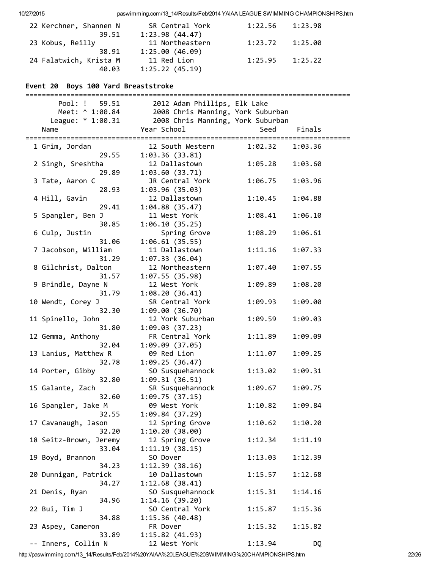| 22 Kerchner, Shannen N | SR Central York | 1:22.56 | 1:23.98 |
|------------------------|-----------------|---------|---------|
| 39.51                  | 1:23.98(44.47)  |         |         |
| 23 Kobus, Reilly       | 11 Northeastern | 1:23.72 | 1:25.00 |
| 38.91                  | 1:25.00(46.09)  |         |         |
| 24 Falatwich, Krista M | 11 Red Lion     | 1:25.95 | 1:25.22 |
| 40.03                  | 1:25.22(45.19)  |         |         |

### Event 20 Boys 100 Yard Breaststroke

| Meet: ^ 1:00.84                 | Pool: ! 59.51 2012 Adam Phillips, Elk Lake<br>2008 Chris Manning, York Suburban<br>League: * 1:00.31 2008 Chris Manning, York Suburban |                     |             |
|---------------------------------|----------------------------------------------------------------------------------------------------------------------------------------|---------------------|-------------|
| Name                            | Year School                                                                                                                            |                     | Seed Finals |
| 1 Grim, Jordan<br>29.55         | 12 South Western<br>1:03.36(33.81)                                                                                                     | $1:02.32$ $1:03.36$ |             |
| 2 Singh, Sreshtha<br>29.89      | 12 Dallastown<br>1:03.60(33.71)                                                                                                        | 1:05.28             | 1:03.60     |
| 3 Tate, Aaron C<br>28.93        | JR Central York<br>1:03.96(35.03)                                                                                                      | 1:06.75             | 1:03.96     |
| 4 Hill, Gavin<br>29.41          | 12 Dallastown<br>1:04.88(35.47)                                                                                                        | 1:10.45             | 1:04.88     |
| 5 Spangler, Ben J<br>30.85      | 11 West York<br>1:06.10(35.25)                                                                                                         | 1:08.41             | 1:06.10     |
| 6 Culp, Justin<br>31.06         | Spring Grove<br>1:06.61(35.55)                                                                                                         | 1:08.29             | 1:06.61     |
| 7 Jacobson, William<br>31.29    | 11 Dallastown<br>1:07.33(36.04)                                                                                                        | 1:11.16             | 1:07.33     |
| 8 Gilchrist, Dalton<br>31.57    | 12 Northeastern<br>1:07.55(35.98)                                                                                                      | 1:07.40             | 1:07.55     |
| 9 Brindle, Dayne N<br>31.79     | 12 West York<br>1:08.20(36.41)                                                                                                         | 1:09.89             | 1:08.20     |
| 10 Wendt, Corey J<br>32.30      | SR Central York<br>1:09.00(36.70)                                                                                                      | 1:09.93             | 1:09.00     |
| 11 Spinello, John<br>31.80      | 12 York Suburban<br>1:09.03(37.23)                                                                                                     | 1:09.59             | 1:09.03     |
| 12 Gemma, Anthony<br>32.04      | FR Central York<br>1:09.09(37.05)                                                                                                      | 1:11.89             | 1:09.09     |
| 13 Lanius, Matthew R<br>32.78   | 09 Red Lion<br>1:09.25(36.47)                                                                                                          | 1:11.07             | 1:09.25     |
| 14 Porter, Gibby<br>32.80       | SO Susquehannock<br>1:09.31(36.51)                                                                                                     | 1:13.02             | 1:09.31     |
| 15 Galante, Zach<br>32.60       | SR Susquehannock<br>1:09.75(37.15)                                                                                                     | 1:09.67             | 1:09.75     |
| 16 Spangler, Jake M<br>32.55    | 09 West York<br>1:09.84(37.29)                                                                                                         | 1:10.82             | 1:09.84     |
| 17 Cavanaugh, Jason<br>32.20    | 12 Spring Grove<br>1:10.20(38.00)                                                                                                      | 1:10.62             | 1:10.20     |
| 18 Seitz-Brown, Jeremy<br>33.04 | 12 Spring Grove<br>1:11.19(38.15)                                                                                                      | 1:12.34             | 1:11.19     |
| 19 Boyd, Brannon<br>34.23       | SO Dover<br>1:12.39(38.16)                                                                                                             | 1:13.03             | 1:12.39     |
| 20 Dunnigan, Patrick<br>34.27   | 10 Dallastown<br>1:12.68(38.41)                                                                                                        | 1:15.57             | 1:12.68     |
| 21 Denis, Ryan<br>34.96         | SO Susquehannock<br>1:14.16(39.20)                                                                                                     | 1:15.31             | 1:14.16     |
| 22 Bui, Tim J<br>34.88          | SO Central York<br>1:15.36(40.48)                                                                                                      | 1:15.87             | 1:15.36     |
| 23 Aspey, Cameron<br>33.89      | FR Dover<br>1:15.82(41.93)                                                                                                             | 1:15.32             | 1:15.82     |
| -- Inners, Collin N             | 12 West York                                                                                                                           | 1:13.94             | DQ          |

http://paswimming.com/13\_14/Results/Feb/2014%20YAIAA%20LEAGUE%20SWIMMING%20CHAMPIONSHIPS.htm 22/26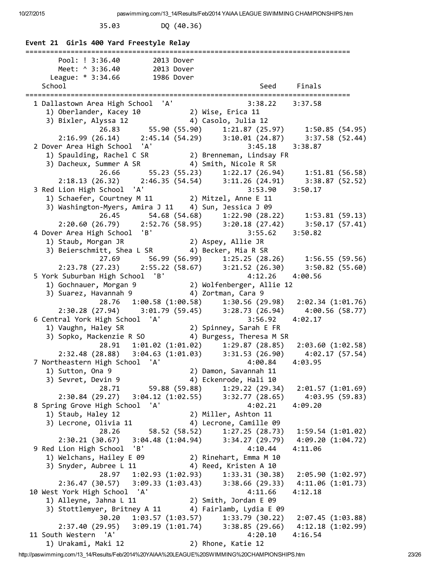35.03 DQ (40.36)

Event 21 Girls 400 Yard Freestyle Relay =============================================================================== Pool: ! 3:36.40 2013 Dover Meet: ^ 3:36.40 2013 Dover League: \* 3:34.66 1986 Dover School School Seed Finals =============================================================================== 1 Dallastown Area High School 'A' 3:38.22 3:37.58 1) Oberlander, Kacey 10 2) Wise, Erica 11 3) Bixler, Alyssa 12 (4) Casolo, Julia 12 26.83 55.90 (55.90) 1:21.87 (25.97) 1:50.85 (54.95) 2:16.99 (26.14) 2:45.14 (54.29) 3:10.01 (24.87) 3:37.58 (52.44) 2 Dover Area High School 'A' 3:45.18 3:38.87 1) Spaulding, Rachel C SR 2) Brenneman, Lindsay FR 3) Dacheux, Summer A SR 4) Smith, Nicole R SR 26.66 55.23 (55.23) 1:22.17 (26.94) 1:51.81 (56.58) 2:18.13 (26.32) 2:46.35 (54.54) 3:11.26 (24.91) 3:38.87 (52.52) 3 Red Lion High School 'A' 3:53.90 3:50.17 1) Schaefer, Courtney M 11 2) Mitzel, Anne E 11 3) Washington‐Myers, Amira J 11 4) Sun, Jessica J 09 26.45 54.68 (54.68) 1:22.90 (28.22) 1:53.81 (59.13) 2:20.60 (26.79) 2:52.76 (58.95) 3:20.18 (27.42) 3:50.17 (57.41) 4 Dover Area High School 'B' 3:55.62 3:50.82 1) Staub, Morgan JR 2) Aspey, Allie JR 3) Beierschmitt, Shea L SR 4) Becker, Mia R SR 27.69 56.99 (56.99) 1:25.25 (28.26) 1:56.55 (59.56) 2:23.78 (27.23) 2:55.22 (58.67) 3:21.52 (26.30) 3:50.82 (55.60) 5 York Suburban High School 'B' 4:12.26 4:00.56 1) Gochnauer, Morgan 9 2) Wolfenberger, Allie 12 3) Suarez, Havannah 9 (4) Zortman, Cara 9 28.76 1:00.58 (1:00.58) 1:30.56 (29.98) 2:02.34 (1:01.76) 2:30.28 (27.94) 3:01.79 (59.45) 3:28.73 (26.94) 4:00.56 (58.77) 6 Central York High School 'A' 3:56.92 4:02.17 1) Vaughn, Haley SR 2) Spinney, Sarah E FR 3) Sopko, Mackenzie R SO 4) Burgess, Theresa M SR 28.91 1:01.02 (1:01.02) 1:29.87 (28.85) 2:03.60 (1:02.58) 2:32.48 (28.88) 3:04.63 (1:01.03) 3:31.53 (26.90) 4:02.17 (57.54) 7 Northeastern High School 'A' 4:00.84 4:03.95 1) Sutton, Ona 9 2) Damon, Savannah 11 3) Sevret, Devin 9 (4) Eckenrode, Hali 10 28.71 59.88 (59.88) 1:29.22 (29.34) 2:01.57 (1:01.69) 2:30.84 (29.27) 3:04.12 (1:02.55) 3:32.77 (28.65) 4:03.95 (59.83) 8 Spring Grove High School 'A' 4:02.21 4:09.20 1) Staub, Haley 12 2) Miller, Ashton 11 3) Lecrone, Olivia 11 (4) Lecrone, Camille 09 28.26 58.52 (58.52) 1:27.25 (28.73) 1:59.54 (1:01.02) 2:30.21 (30.67) 3:04.48 (1:04.94) 3:34.27 (29.79) 4:09.20 (1:04.72) 9 Red Lion High School 'B' 4:10.44 4:11.06 1) Welchans, Hailey E 09 2) Rinehart, Emma M 10 3) Snyder, Aubree L 11 4) Reed, Kristen A 10 28.97 1:02.93 (1:02.93) 1:33.31 (30.38) 2:05.90 (1:02.97) 2:36.47 (30.57) 3:09.33  $(1:03.43)$  3:38.66 (29.33) 4:11.06 (1:01.73) 10 West York High School 'A' 4:11.66 4:12.18 1) Alleyne, Jahna L 11 2) Smith, Jordan E 09 3) Stottlemyer, Britney A 11 4) Fairlamb, Lydia E 09 30.20 1:03.57 (1:03.57) 1:33.79 (30.22) 2:07.45 (1:03.88) 2:37.40 (29.95) 3:09.19 (1:01.74) 3:38.85 (29.66) 4:12.18 (1:02.99) 11 South Western 'A' 4:20.10 4:16.54 1) Urakami, Maki 12 2) Rhone, Katie 12

http://paswimming.com/13\_14/Results/Feb/2014%20YAIAA%20LEAGUE%20SWIMMING%20CHAMPIONSHIPS.htm 23/26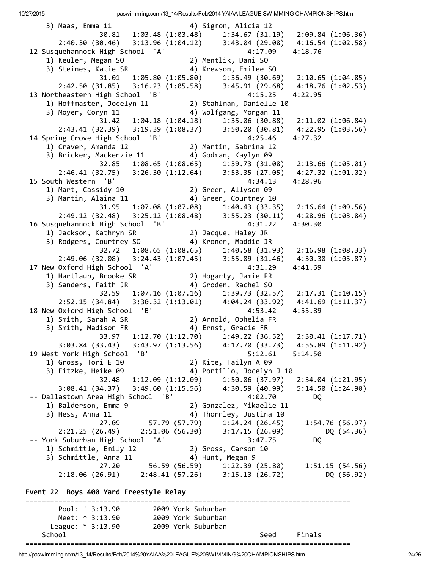3) Maas, Emma 11 4) Sigmon, Alicia 12 30.81 1:03.48 (1:03.48) 1:34.67 (31.19) 2:09.84 (1:06.36) 2:40.30 (30.46) 3:13.96 (1:04.12) 3:43.04 (29.08) 4:16.54 (1:02.58) 12 Susquehannock High School 'A' 4:17.09 4:18.76 1) Keuler, Megan SO 2) Mentlik, Dani SO 3) Steines, Katie SR (4) Krewson, Emilee SO 31.01 1:05.80 (1:05.80) 1:36.49 (30.69) 2:10.65 (1:04.85) 2:42.50 (31.85) 3:16.23 (1:05.58) 3:45.91 (29.68) 4:18.76 (1:02.53) 13 Northeastern High School 'B' 4:15.25 4:22.95<br>1) Hoffmaster, Jocelyn 11 2) Stahlman, Danielle 10 1) Hoffmaster, Jocelyn 11 2) Stahlman, Danielle 10 3) Moyer, Coryn 11 (4) Wolfgang, Morgan 11 31.42 1:04.18 (1:04.18) 1:35.06 (30.88) 2:11.02 (1:06.84) 2:43.41 (32.39) 3:19.39 (1:08.37) 3:50.20 (30.81) 4:22.95 (1:03.56) 14 Spring Grove High School 'B' 4:25.46 4:27.32 1) Craver, Amanda 12 2) Martin, Sabrina 12 3) Bricker, Mackenzie 11 (4) Godman, Kaylyn 09 32.85 1:08.65 (1:08.65) 1:39.73 (31.08) 2:13.66 (1:05.01) 2:46.41 (32.75) 3:26.30 (1:12.64) 3:53.35 (27.05) 4:27.32 (1:01.02) 15 South Western 'B' 4:34.13 4:28.96 1) Mart, Cassidy 10 2) Green, Allyson 09 3) Martin, Alaina 11 4) Green, Courtney 10 31.95 1:07.08 (1:07.08) 1:40.43 (33.35) 2:16.64 (1:09.56) 2:49.12 (32.48) 3:25.12 (1:08.48) 3:55.23 (30.11) 4:28.96 (1:03.84) 16 Susquehannock High School 'B' 4:31.22 4:30.30 1) Jackson, Kathryn SR 2) Jacque, Haley JR 3) Rodgers, Courtney SO 4) Kroner, Maddie JR 32.72 1:08.65 (1:08.65) 1:40.58 (31.93) 2:16.98 (1:08.33) 2:49.06 (32.08) 3:24.43 (1:07.45) 3:55.89 (31.46) 4:30.30 (1:05.87) 17 New Oxford High School 'A' 4:31.29 4:41.69 1) Hartlaub, Brooke SR 2) Hogarty, Jamie FR 3) Sanders, Faith JR 4) Groden, Rachel SO 32.59 1:07.16 (1:07.16) 1:39.73 (32.57) 2:17.31 (1:10.15) 2:52.15 (34.84) 3:30.32 (1:13.01) 4:04.24 (33.92) 4:41.69 (1:11.37) 18 New Oxford High School 'B' 4:53.42 4:55.89 1) Smith, Sarah A SR 2) Arnold, Ophelia FR 3) Smith, Madison FR 4) Ernst, Gracie FR 33.97 1:12.70 (1:12.70) 1:49.22 (36.52) 2:30.41 (1:17.71) 3:03.84 (33.43) 3:43.97 (1:13.56) 4:17.70 (33.73) 4:55.89 (1:11.92) 19 West York High School 'B' 5:12.61 5:14.50 1) Gross, Tori E 10 2) Kite, Tailyn A 09 3) Fitzke, Heike 09 (4) Portillo, Jocelyn J 10 32.48 1:12.09 (1:12.09) 1:50.06 (37.97) 2:34.04 (1:21.95) 3:08.41 (34.37) 3:49.60 (1:15.56) 4:30.59 (40.99) 5:14.50 (1:24.90) ‐‐ Dallastown Area High School 'B' 4:02.70 DQ 1) Balderson, Emma 9 2) Gonzalez, Mikaelie 11 3) Hess, Anna 11 4) Thornley, Justina 10 27.09 57.79 (57.79) 1:24.24 (26.45) 1:54.76 (56.97) 2:21.25 (26.49) 2:51.06 (56.30) 3:17.15 (26.09) DQ (54.36) ‐‐ York Suburban High School 'A' 3:47.75 DQ 1) Schmittle, Emily 12 2) Gross, Carson 10 3) Schmittle, Anna 11 4) Hunt, Megan 9 27.20 56.59 (56.59) 1:22.39 (25.80) 1:51.15 (54.56) 2:18.06 (26.91) 2:48.41 (57.26) 3:15.13 (26.72) DQ (56.92) Event 22 Boys 400 Yard Freestyle Relay =============================================================================== Pool: ! 3:13.90 2009 York Suburban Meet: ^ 3:13.90 2009 York Suburban League: \* 3:13.90 2009 York Suburban School Seed Finals

===============================================================================

http://paswimming.com/13\_14/Results/Feb/2014%20YAIAA%20LEAGUE%20SWIMMING%20CHAMPIONSHIPS.htm 24/26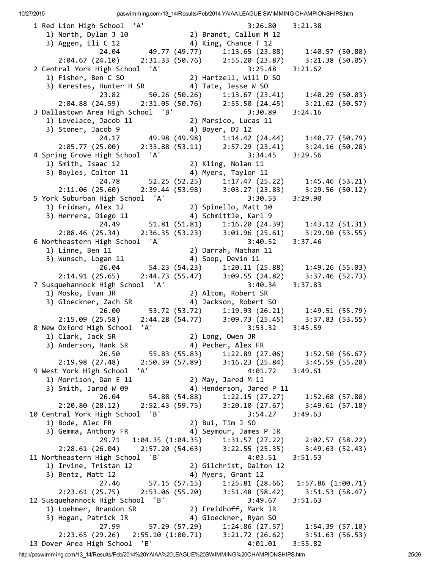1 Red Lion High School 'A' 3:26.80 3:21.38 1) North, Dylan J 10 2) Brandt, Callum M 12 3) Aggen, Eli C 12 (4) King, Chance T 12 24.04 49.77 (49.77) 1:13.65 (23.88) 1:40.57 (50.80) 2:04.67 (24.10) 2:31.33 (50.76) 2:55.20 (23.87) 3:21.38 (50.05) 2 Central York High School 'A' 3:25.48 3:21.62 1) Fisher, Ben C SO 2) Hartzell, Will D SO 3) Kerestes, Hunter H SR (4) Tate, Jesse W SO 23.82 50.26 (50.26) 1:13.67 (23.41) 1:40.29 (50.03)<br>4.59) 2:31.05 (50.76) 2:55.50 (24.45) 3:21.62 (50.57) 2:04.88 (24.59) 2:31.05 (50.76) 2:55.50 (24.45) 3 Dallastown Area High School 'B' 3:30.89 3:24.16 1) Lovelace, Jacob 11 2) Marsico, Lucas 11 3) Stoner, Jacob 9 (4) Boyer, DJ 12 24.17 49.98 (49.98) 1:14.42 (24.44) 1:40.77 (50.79) 2:05.77 (25.00) 2:33.88 (53.11) 2:57.29 (23.41) 3:24.16 (50.28) 4 Spring Grove High School 'A' 3:34.45 3:29.56 1) Smith, Isaac 12 2) Kling, Nolan 11 3) Boyles, Colton 11 (4) Myers, Taylor 11 24.78 52.25 (52.25) 1:17.47 (25.22) 1:45.46 (53.21) 2:11.06 (25.60) 2:39.44 (53.98) 3:03.27 (23.83) 3:29.56 (50.12) 5 York Suburban High School 'A' 3:30.53 3:29.90 1) Fridman, Alex 12 2) Spinello, Matt 10 3) Herrera, Diego 11 (4) Schmittle, Karl 9 24.49 51.81 (51.81) 1:16.20 (24.39) 1:43.12 (51.31) 2:08.46 (25.34) 2:36.35 (53.23) 3:01.96 (25.61) 3:29.90 (53.55) 6 Northeastern High School 'A' 3:40.52 3:37.46 1) Linne, Ben 11 2) Darrah, Nathan 11 3) Wunsch, Logan 11 4) Soop, Devin 11 26.04 54.23 (54.23) 1:20.11 (25.88) 1:49.26 (55.03) 2:14.91 (25.65) 2:44.73 (55.47) 3:09.55 (24.82) 3:37.46 (52.73) 7 Susquehannock High School 'A' 3:40.34 3:37.83 1) Mosko, Evan JR 2) Altom, Robert SR 3) Gloeckner, Zach SR 4) Jackson, Robert SO 26.00 53.72 (53.72) 1:19.93 (26.21) 1:49.51 (55.79) 2:15.09 (25.58) 2:44.28 (54.77) 3:09.73 (25.45) 3:37.83 (53.55) 8 New Oxford High School 'A' 3:53.32 3:45.59 1) Clark, Jack SR 2) Long, Owen JR 3) Anderson, Hank SR 4) Pecher, Alex FR 26.50 55.83 (55.83) 1:22.89 (27.06) 1:52.50 (56.67) 2:19.98 (27.48) 2:50.39 (57.89) 3:16.23 (25.84) 3:45.59 (55.20) 9 West York High School 'A' 4:01.72 3:49.61 1) Morrison, Dan E 11 2) May, Jared M 11 3) Smith, Jarod W 09 4) Henderson, Jared P 11 26.04 54.88 (54.88) 1:22.15 (27.27) 1:52.68 (57.80) 2:20.80 (28.12) 2:52.43 (59.75) 3:20.10 (27.67) 3:49.61 (57.18) 10 Central York High School 'B' 3:54.27 3:49.63 1) Bode, Alec FR 2) Bui, Tim J SO 3) Gemma, Anthony FR 4) Seymour, James P JR 29.71 1:04.35 (1:04.35) 1:31.57 (27.22) 2:02.57 (58.22) 2:28.61 (26.04) 2:57.20 (54.63) 3:22.55 (25.35) 3:49.63 (52.43) 11 Northeastern High School 'B' 4:03.51 3:51.53 1) Irvine, Tristan 12 2) Gilchrist, Dalton 12 3) Bentz, Matt 12 4) Myers, Grant 12 27.46 57.15 (57.15) 1:25.81 (28.66) 1:57.86 (1:00.71) 2:23.61 (25.75) 2:53.06 (55.20) 3:51.48 (58.42) 3:51.53 (58.47) 12 Susquehannock High School 'B' 3:49.67 3:51.63 1) Loehmer, Brandon SR 2) Freidhoff, Mark JR 3) Hogan, Patrick JR 4) Gloeckner, Ryan SO 27.99 57.29 (57.29) 1:24.86 (27.57) 1:54.39 (57.10) 2:23.65 (29.26) 2:55.10 (1:00.71) 1:24.80 (2/.5/) 1:54.39 (57.10)<br>2:23.65 (29.26) 2:55.10 (1:00.71) 3:21.72 (26.62) 3:51.63 (56.53)<br>2:21.72 (26.62) 3:51.63 (56.53) 13 Dover Area High School 'B' 4:01.01 3:55.82

http://paswimming.com/13\_14/Results/Feb/2014%20YAIAA%20LEAGUE%20SWIMMING%20CHAMPIONSHIPS.htm 25/26